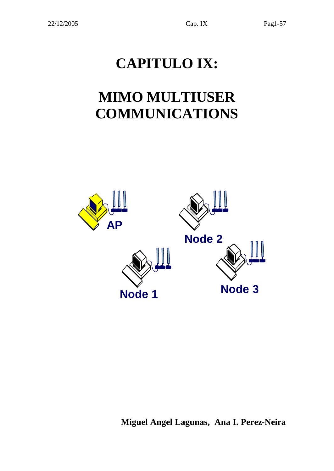# **CAPITULO IX:**

# **MIMO MULTIUSER COMMUNICATIONS**



**Miguel Angel Lagunas, Ana I. Perez-Neira**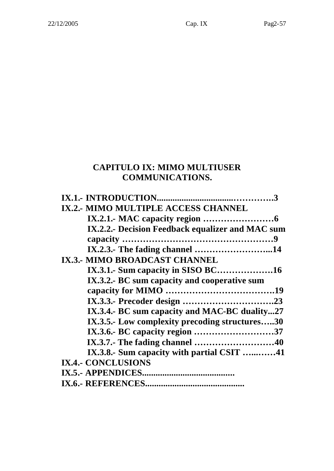# **CAPITULO IX: MIMO MULTIUSER COMMUNICATIONS.**

| IX.2.- MIMO MULTIPLE ACCESS CHANNEL              |
|--------------------------------------------------|
|                                                  |
| IX.2.2.- Decision Feedback equalizer and MAC sum |
|                                                  |
| IX.2.3.- The fading channel 14                   |
| <b>IX.3.- MIMO BROADCAST CHANNEL</b>             |
|                                                  |
| IX.3.2.- BC sum capacity and cooperative sum     |
|                                                  |
|                                                  |
| IX.3.4.- BC sum capacity and MAC-BC duality27    |
| IX.3.5.- Low complexity precoding structures30   |
| IX.3.6.- BC capacity region 37                   |
|                                                  |
| IX.3.8. Sum capacity with partial CSIT 41        |
| <b>IX.4.- CONCLUSIONS</b>                        |
| IX.5.- APPENDICES.<br>                           |
|                                                  |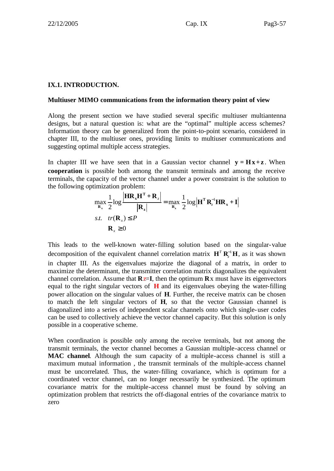#### **IX.1. INTRODUCTION.**

#### **Multiuser MIMO communications from the information theory point of view**

Along the present section we have studied several specific multiuser multiantenna designs, but a natural question is: what are the "optimal" multiple access schemes? Information theory can be generalized from the point-to-point scenario, considered in chapter III, to the multiuser ones, providing limits to multiuser communications and suggesting optimal multiple access strategies.

In chapter III we have seen that in a Gaussian vector channel  $\mathbf{v} = \mathbf{H}\mathbf{x} + \mathbf{z}$ . When **cooperation** is possible both among the transmit terminals and among the receive terminals, the capacity of the vector channel under a power constraint is the solution to the following optimization problem:

$$
\max_{\mathbf{R}_x} \frac{1}{2} \log \frac{\left| \mathbf{H} \mathbf{R}_x \mathbf{H}^T + \mathbf{R}_z \right|}{\left| \mathbf{R}_z \right|} = \max_{\mathbf{R}_x} \frac{1}{2} \log \left| \mathbf{H}^T \mathbf{R}_z^{-1} \mathbf{H} \mathbf{R}_x + \mathbf{I} \right|
$$
  
s.t.  $tr(\mathbf{R}_x) \le P$   
 $\mathbf{R}_x \ge 0$ 

This leads to the well-known water-filling solution based on the singular-value decomposition of the equivalent channel correlation matrix  $\mathbf{H}^T \mathbf{R}^{-1}$ **H**, as it was shown in chapter III. As the eigenvalues majorize the diagonal of a matrix, in order to maximize the determinant, the transmitter correlation matrix diagonalizes the equivalent channel correlation. Assume that  $\mathbf{R}z = \mathbf{I}$ , then the optimum  $\mathbf{R}x$  must have its eigenvectors equal to the right singular vectors of **H** and its eigenvalues obeying the water-filling power allocation on the singular values of **H**. Further, the receive matrix can be chosen to match the left singular vectors of **H**, so that the vector Gaussian channel is diagonalized into a series of independent scalar channels onto which single-user codes can be used to collectively achieve the vector channel capacity. But this solution is only possible in a cooperative scheme.

When coordination is possible only among the receive terminals, but not among the transmit terminals, the vector channel becomes a Gaussian multiple-access channel or **MAC channel**. Although the sum capacity of a multiple-access channel is still a maximum mutual information , the transmit terminals of the multiple-access channel must be uncorrelated. Thus, the water-filling covariance, which is optimum for a coordinated vector channel, can no longer necessarily be synthesized. The optimum covariance matrix for the multiple-access channel must be found by solving an optimization problem that restricts the off-diagonal entries of the covariance matrix to zero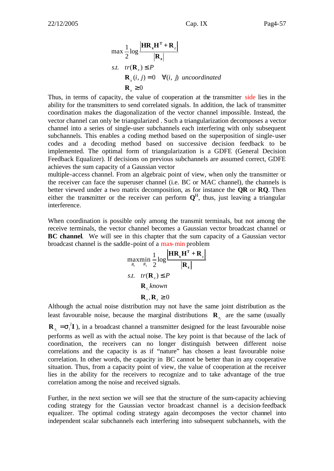$$
Cap. IX \t\t Pap. X
$$

$$
\max \frac{1}{2} \log \frac{\left|\mathbf{HR}_{x} \mathbf{H}^{T} + \mathbf{R}_{z}\right|}{\left|\mathbf{R}_{z}\right|}
$$
  
s.t.  $tr(\mathbf{R}_{x}) \le P$   
 $\mathbf{R}_{x}(i, j) = 0 \quad \forall (i, j) \text{ uncoordinated}$   
 $\mathbf{R}_{x} \ge 0$ 

Thus, in terms of capacity, the value of cooperation at the transmitter side lies in the ability for the transmitters to send correlated signals. In addition, the lack of transmitter coordination makes the diagonalization of the vector channel impossible. Instead, the vector channel can only be triangularized . Such a triangularization decomposes a vector channel into a series of single-user subchannels each interfering with only subsequent subchannels. This enables a coding method based on the superposition of single-user codes and a decoding method based on successive decision feedback to be implemented. The optimal form of triangularization is a GDFE (General Decision Feedback Equalizer). If decisions on previous subchannels are assumed correct, GDFE achieves the sum capacity of a Gaussian vector

multiple-access channel. From an algebraic point of view, when only the transmitter or the receiver can face the superuser channel (i.e. BC or MAC channel), the channels is better viewed under a two matrix decomposition, as for instance the **QR** or **RQ**. Then either the transmitter or the receiver can perform  $Q<sup>H</sup>$ , thus, just leaving a triangular interference.

When coordination is possible only among the transmit terminals, but not among the receive terminals, the vector channel becomes a Gaussian vector broadcast channel or **BC channel**. We will see in this chapter that the sum capacity of a Gaussian vector broadcast channel is the saddle-point of a max-min problem

$$
\begin{aligned}\n\max_{R_x} \min_{R_z} \frac{1}{2} \log \frac{|\mathbf{HR}_x \mathbf{H}^T + \mathbf{R}_z|}{|\mathbf{R}_z|} \\
\text{s.t.} \quad tr(\mathbf{R}_x) &\le P \\
\mathbf{R}_{z_i} \text{known} \\
\mathbf{R}_x, \mathbf{R}_z &\ge 0\n\end{aligned}
$$

Although the actual noise distribution may not have the same joint distribution as the least favourable noise, because the marginal distributions  $\mathbf{R}_{z_i}$  are the same (usually 2  $\mathbf{R}_{z_i} = \mathbf{s}_i^2 \mathbf{I}$ ), in a broadcast channel a transmitter designed for the least favourable noise performs as well as with the actual noise. The key point is that because of the lack of coordination, the receivers can no longer distinguish between different noise correlations and the capacity is as if "nature" has chosen a least favourable noise correlation. In other words, the capacity in BC cannot be better than in any cooperative situation. Thus, from a capacity point of view, the value of cooperation at the receiver lies in the ability for the receivers to recognize and to take advantage of the true correlation among the noise and received signals.

Further, in the next section we will see that the structure of the sum-capacity achieving coding strategy for the Gaussian vector broadcast channel is a decision-feedback equalizer. The optimal coding strategy again decomposes the vector channel into independent scalar subchannels each interfering into subsequent subchannels, with the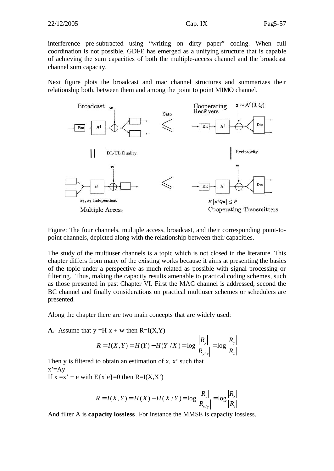interference pre-subtracted using "writing on dirty paper" coding. When full coordination is not possible, GDFE has emerged as a unifying structure that is capable of achieving the sum capacities of both the multiple-access channel and the broadcast channel sum capacity.

Next figure plots the broadcast and mac channel structures and summarizes their relationship both, between them and among the point to point MIMO channel.



Figure: The four channels, multiple access, broadcast, and their corresponding point-topoint channels, depicted along with the relationship between their capacities.

The study of the multiuser channels is a topic which is not closed in the literature. This chapter differs from many of the existing works because it aims at presenting the basics of the topic under a perspective as much related as possible with signal processing or filtering. Thus, making the capacity results amenable to practical coding schemes, such as those presented in past Chapter VI. First the MAC channel is addressed, second the BC channel and finally considerations on practical multiuser schemes or schedulers are presented.

Along the chapter there are two main concepts that are widely used:

**A.**- Assume that  $y = H x + w$  then  $R=I(X,Y)$ 

$$
R = I(X, Y) = H(Y) - H(Y / X) = \log \frac{|R_{y}|}{|R_{y/x}|} = \log \frac{|R_{y}|}{|R_{z}|}
$$

Then  $y$  is filtered to obtain an estimation of  $x, x'$  such that  $x' = Av$ If  $x = x' + e$  with  $E{x'e} = 0$  then  $R=I(X,X')$ 

$$
R = I(X, Y) = H(X) - H(X/Y) = \log \frac{|R_x|}{|R_{x/y}|} = \log \frac{|R_x|}{|R_e|}
$$

And filter A is **capacity lossless**. For instance the MMSE is capacity lossless.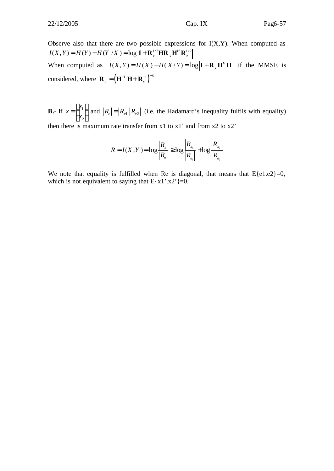Observe also that there are two possible expressions for  $I(X,Y)$ . When computed as  $I(X, Y) = H(Y) - H(Y | X) = \log |I + \mathbf{R}_{z}^{1/2} H \mathbf{R}_{x} \mathbf{H}^{H} \mathbf{R}_{z}^{1/2}$ When computed as  $I(X, Y) = H(X) - H(X/Y) = \log |I + R_x H^H H|$  if the MMSE is considered, where  $\mathbf{R}_{e} = (\mathbf{H}^{H} \mathbf{H} + \mathbf{R}_{x}^{-1})^{-1}$  $e = \begin{pmatrix} \mathbf{H} & \mathbf{H} & \mathbf{K} \end{pmatrix}$  ${\bf R}_e = ({\bf H}^H {\bf H} + {\bf R}_r^{-1})^{-1}$ 

**B.**- If  $x = \begin{bmatrix} x_1 \\ y_2 \end{bmatrix}$ 2 *x x x*  $\vert x_{1} \vert$  $=\begin{bmatrix} 1 \ x_2 \end{bmatrix}$  and  $|R_e| = |R_{e1}| |R_{e2}|$  (i.e. the Hadamard's inequality fulfils with equality) then there is maximum rate transfer from x1 to x1' and from x2 to x2'

$$
R = I(X, Y) = \log \frac{|R_x|}{|R_e|} \ge \log \frac{|R_{x_1}|}{|R_{e_1}|} + \log \frac{|R_{x_2}|}{|R_{e_2}|}
$$

We note that equality is fulfilled when Re is diagonal, that means that  $E\{e1.e2\}=0$ , which is not equivalent to saying that  $E{x1}''.x2'$  =0.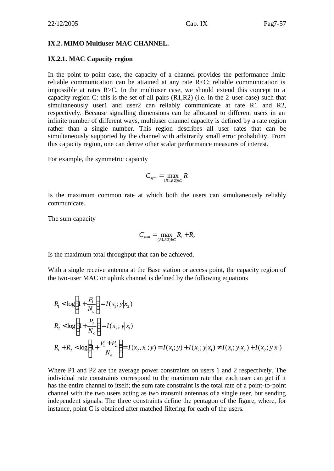#### **IX.2. MIMO Multiuser MAC CHANNEL.**

#### **IX.2.1. MAC Capacity region**

In the point to point case, the capacity of a channel provides the performance limit: reliable communication can be attained at any rate R<C; reliable communication is impossible at rates R>C. In the multiuser case, we should extend this concept to a capacity region C: this is the set of all pairs (R1,R2) (i.e. in the 2 user case) such that simultaneously user1 and user2 can reliably communicate at rate R1 and R2, respectively. Because signalling dimensions can be allocated to different users in an infinite number of different ways, multiuser channel capacity is defined by a rate region rather than a single number. This region describes all user rates that can be simultaneously supported by the channel with arbitrarily small error probability. From this capacity region, one can derive other scalar performance measures of interest.

For example, the symmetric capacity

$$
C_{sym} = \max_{(R1,R2)\in C} R
$$

Is the maximum common rate at which both the users can simultaneously reliably communicate.

The sum capacity

$$
C_{sum} = \max_{(R1,R2)\in C} R_1 + R_2
$$

Is the maximum total throughput that can be achieved.

With a single receive antenna at the Base station or access point, the capacity region of the two-user MAC or uplink channel is defined by the following equations

$$
R_1 < \log\left(1 + \frac{P_1}{N_o}\right) = I(x_1; y|x_2)
$$
\n
$$
R_2 < \log\left(1 + \frac{P_2}{N_o}\right) = I(x_2; y|x_1)
$$
\n
$$
R_1 + R_2 < \log\left(1 + \frac{P_1 + P_2}{N_o}\right) = I(x_2, x_1; y) = I(x_1; y) + I(x_2; y|x_1) \neq I(x_1; y|x_2) + I(x_2; y|x_1)
$$

Where P1 and P2 are the average power constraints on users 1 and 2 respectively. The individual rate constraints correspond to the maximum rate that each user can get if it has the entire channel to itself; the sum rate constraint is the total rate of a point-to-point channel with the two users acting as two transmit antennas of a single user, but sending independent signals. The three constraints define the pentagon of the figure, where, for instance, point C is obtained after matched filtering for each of the users.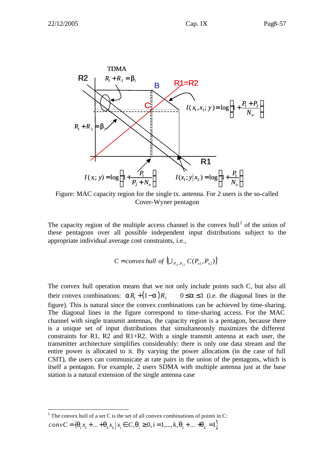

Figure: MAC capacity region for the single tx. antenna. For 2 users is the so-called Cover-Wyner pentagon

The capacity region of the multiple access channel is the convex hull<sup>1</sup> of the union of these pentagons over all possible independent input distributions subject to the appropriate individual average cost constraints, i.e.,

$$
C = convex \; hull \; of \; \left( \bigcup_{P_{x1}, P_{x2}} C(P_{x1}, P_{x2}) \right)
$$

The convex hull operation means that we not only include points such C, but also all their convex combinations:  $aR_1 + (1-a)R_2$   $0 \le a \le 1$  (i.e. the diagonal lines in the figure). This is natural since the convex combinations can be achieved by time-sharing. The diagonal lines in the figure correspond to time-sharing access. For the MAC channel with single transmit antennas, the capacity region is a pentagon, because there is a unique set of input distributions that simultaneously maximizes the different constraints for R1, R2 and R1+R2. With a single transmit antenna at each user, the transmitter architecture simplifies considerably: there is only one data stream and the entire power is allocated to it. By varying the power allocations (in the case of full CSIT), the users can communicate at rate pairs in the union of the pentagons, which is itself a pentagon. For example, 2 users SDMA with multiple antenna just at the base station is a natural extension of the single antenna case

<sup>&</sup>lt;sup>1</sup> The convex hull of a set C is the set of all convex combinations of points in C:  $convC = \{ \mathbf{q}_1 x_1 + ... + \mathbf{q}_k x_k | x_i \in C, \mathbf{q}_i \ge 0, i = 1,..., k, \mathbf{q}_1 + ... + \mathbf{q}_k = 1 \}$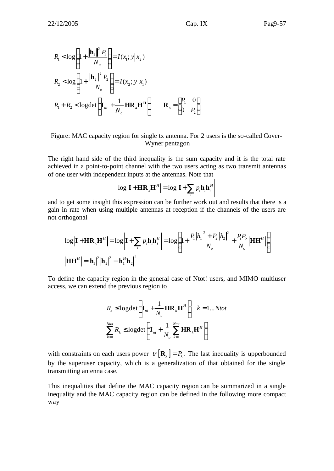$$
R_1 < \log \left( 1 + \frac{\left\| \mathbf{h}_1 \right\|^2 P_1}{N_o} \right) = I(x_1; y | x_2)
$$
\n
$$
R_2 < \log \left( 1 + \frac{\left\| \mathbf{h}_2 \right\|^2 P_2}{N_o} \right) = I(x_2; y | x_1)
$$
\n
$$
R_1 + R_2 < \log \det \left( \mathbf{I}_{nr} + \frac{1}{N_o} \mathbf{H} \mathbf{R}_x \mathbf{H}^\mathbf{H} \right) \qquad \mathbf{R}_x = \begin{bmatrix} P_1 & 0 \\ 0 & P_2 \end{bmatrix}
$$

Figure: MAC capacity region for single tx antenna. For 2 users is the so-called Cover-Wyner pentagon

The right hand side of the third inequality is the sum capacity and it is the total rate achieved in a point-to-point channel with the two users acting as two transmit antennas of one user with independent inputs at the antennas. Note that

$$
\log \left| \mathbf{I} + \mathbf{H} \mathbf{R}_{x} \mathbf{H}^{H} \right| = \log \left| \mathbf{I} + \sum_{i} p_{i} \mathbf{h}_{i} \mathbf{h}_{i}^{H} \right|
$$

and to get some insight this expression can be further work out and results that there is a gain in rate when using multiple antennas at reception if the channels of the users are not orthogonal

$$
\log \left| \mathbf{I} + \mathbf{H} \mathbf{R}_{x} \mathbf{H}^{H} \right| = \log \left| \mathbf{I} + \sum_{i} p_{i} \mathbf{h}_{i} \mathbf{h}_{i}^{H} \right| = \log \left( 1 + \frac{P_{1} |h_{1}|^{2} + P_{2} |h_{2}|^{2}}{N_{o}} + \frac{P_{1} P_{2}}{N_{o}} \right| \mathbf{H} \mathbf{H}^{H} \right)
$$
\n
$$
\left| \mathbf{H} \mathbf{H}^{H} \right| = \left| \mathbf{h}_{1} \right|^{2} \left| \mathbf{h}_{2} \right|^{2} - \left| \mathbf{h}_{1}^{H} \mathbf{h}_{2} \right|^{2}
$$

To define the capacity region in the general case of Ntot! users, and MIMO multiuser access, we can extend the previous region to

$$
R_{k} \le \log \det \left(\mathbf{I}_{nt} + \frac{1}{N_o} \mathbf{H} \mathbf{R}_{k} \mathbf{H}^{H}\right) \quad k = 1...Not
$$

$$
\sum_{k=1}^{Ntot} R_{k} \le \log \det \left(\mathbf{I}_{nt} + \frac{1}{N_o} \sum_{k=1}^{Ntot} \mathbf{H} \mathbf{R}_{k} \mathbf{H}^{H}\right)
$$

with constraints on each users power  $tr[R_k] = P_k$ . The last inequality is upperbounded by the superuser capacity, which is a generalization of that obtained for the single transmitting antenna case.

This inequalities that define the MAC capacity region can be summarized in a single inequality and the MAC capacity region can be defined in the following more compact way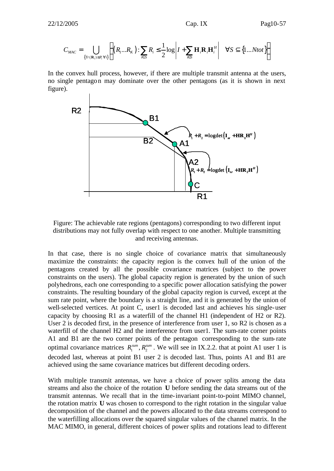$$
C_{MAC} = \bigcup_{\{Tr(\mathbf{R}_i) \le P_i \forall i\}} \left\{ (R_1...R_K): \sum_{i \in S} R_i \le \frac{1}{2} \log \left| I + \sum_{i \in S} \mathbf{H}_i \mathbf{R}_i \mathbf{H}_i^H \right| \quad \forall S \subseteq \{1...Ntot\} \right\}
$$

In the convex hull process, however, if there are multiple transmit antenna at the users, no single pentagon may dominate over the other pentagons (as it is shown in next figure).



Figure: The achievable rate regions (pentagons) corresponding to two different input distributions may not fully overlap with respect to one another. Multiple transmitting and receiving antennas.

In that case, there is no single choice of covariance matrix that simultaneously maximize the constraints: the capacity region is the convex hull of the union of the pentagons created by all the possible covariance matrices (subject to the power constraints on the users). The global capacity region is generated by the union of such polyhedrons, each one corresponding to a specific power allocation satisfying the power constraints. The resulting boundary of the global capacity region is curved, except at the sum rate point, where the boundary is a straight line, and it is generated by the union of well-selected vertices. At point C, user1 is decoded last and achieves his single-user capacity by choosing R1 as a waterfill of the channel H1 (independent of H2 or R2). User 2 is decoded first, in the presence of interference from user 1, so R2 is chosen as a waterfill of the channel H2 and the interference from user1. The sum-rate corner points A1 and B1 are the two corner points of the pentagon corresponding to the sum-rate optimal covariance matrices  $R_1^{\text{sum}}, R_2^{\text{sum}}$ . We will see in IX.2.2. that at point A1 user 1 is decoded last, whereas at point B1 user 2 is decoded last. Thus, points A1 and B1 are achieved using the same covariance matrices but different decoding orders.

With multiple transmit antennas, we have a choice of power splits among the data streams and also the choice of the rotation **U** before sending the data streams out of the transmit antennas. We recall that in the time-invariant point-to-point MIMO channel, the rotation matrix **U** was chosen to correspond to the right rotation in the singular value decomposition of the channel and the powers allocated to the data streams correspond to the waterfilling allocations over the squared singular values of the channel matrix. In the MAC MIMO, in general, different choices of power splits and rotations lead to different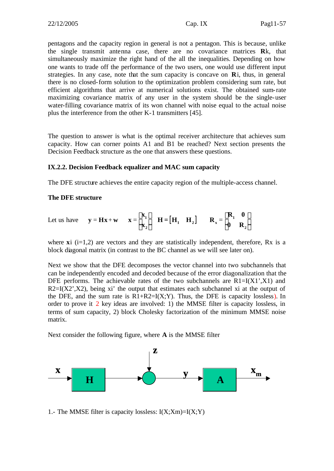pentagons and the capacity region in general is not a pentagon. This is because, unlike the single transmit antenna case, there are no covariance matrices **R**k, that simultaneously maximize the right hand of the all the inequalities. Depending on how one wants to trade off the performance of the two users, one would use different input strategies. In any case, note that the sum capacity is concave on **R**i, thus, in general there is no closed-form solution to the optimization problem considering sum rate, but efficient algorithms that arrive at numerical solutions exist. The obtained sum-rate maximizing covariance matrix of any user in the system should be the single-user water-filling covariance matrix of its won channel with noise equal to the actual noise plus the interference from the other K-1 transmitters [45].

The question to answer is what is the optimal receiver architecture that achieves sum capacity. How can corner points A1 and B1 be reached? Next section presents the Decision Feedback structure as the one that answers these questions.

#### **IX.2.2. Decision Feedback equalizer and MAC sum capacity**

The DFE structure achieves the entire capacity region of the multiple-access channel.

#### **The DFE structure**

Let us have 
$$
\mathbf{y} = \mathbf{H}\mathbf{x} + \mathbf{w}
$$
  $\mathbf{x} = \begin{bmatrix} \mathbf{x}_1 \\ \mathbf{x}_2 \end{bmatrix}$   $\mathbf{H} = \begin{bmatrix} \mathbf{H}_1 & \mathbf{H}_2 \end{bmatrix}$   $\mathbf{R}_x = \begin{bmatrix} \mathbf{R}_1 & \mathbf{0} \\ \mathbf{0} & \mathbf{R}_2 \end{bmatrix}$ 

where  $xi$  (i=1,2) are vectors and they are statistically independent, therefore, Rx is a block diagonal matrix (in contrast to the BC channel as we will see later on).

Next we show that the DFE decomposes the vector channel into two subchannels that can be independently encoded and decoded because of the error diagonalization that the DFE performs. The achievable rates of the two subchannels are  $R1 = I(X1', X1)$  and  $R2=I(X2, X2)$ , being xi' the output that estimates each subchannel xi at the output of the DFE, and the sum rate is  $R1 + R2 = I(X;Y)$ . Thus, the DFE is capacity lossless). In order to prove it 2 key ideas are involved: 1) the MMSE filter is capacity lossless, in terms of sum capacity, 2) block Cholesky factorization of the minimum MMSE noise matrix.

Next consider the following figure, where **A** is the MMSE filter



1.- The MMSE filter is capacity lossless:  $I(X;Xm)=I(X;Y)$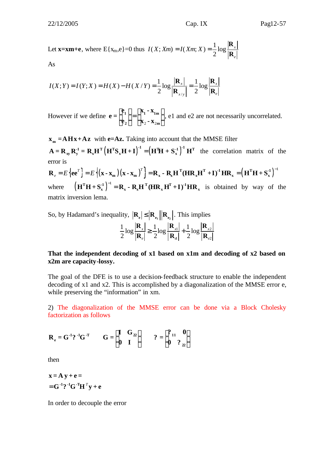Let **x=xm+e**, where  $E\{x_m, e\} = 0$  thus  $I(X; Xm) = I(Xm; X) = \frac{1}{2} \log \frac{1}{2}$ 2 *x e*  $I(X; Xm) = I(Xm; X) =$ **R R**

$$
\mathop{\rm As}\nolimits
$$

$$
I(X;Y) = I(Y;X) = H(X) - H(X/Y) = \frac{1}{2} \log \frac{|\mathbf{R}_x|}{|\mathbf{R}_{x/y}|} = \frac{1}{2} \log \frac{|\mathbf{R}_x|}{|\mathbf{R}_e|}
$$

However if we define  $2 - \mathbf{A}$  $|e_{1}|$  |  $|X_{1}-X_{1m}|$  $\begin{bmatrix} \mathbf{c}_1 \\ \mathbf{e}_2 \end{bmatrix} = \begin{bmatrix} \mathbf{a}_1 & \mathbf{a}_{1m} \\ \mathbf{x}_2 & \mathbf{x}_{2m} \end{bmatrix}$ 2  $\int$   $\mathbf{A}_2 - \mathbf{A}_{2m}$  $e_i$   $\begin{bmatrix} x_i - x_i \end{bmatrix}$ **e =**  $e_2$  | | **x**<sub>2</sub> - **x** , e1 and e2 are not necessarily uncorrelated.

 $\mathbf{x}_{\mathbf{m}} = \mathbf{A}\mathbf{H}\mathbf{x} + \mathbf{A}\mathbf{z}$  with **e=Az.** Taking into account that the MMSE filter  $\mathbf{A} = \mathbf{R}_{xy} \mathbf{R}_{y}^{-1} = \mathbf{R}_{x} \mathbf{H}^{T} (\mathbf{H}^{T} \mathbf{S}_{x} \mathbf{H} + \mathbf{I})^{-1} = (\mathbf{H}^{T} \mathbf{H} + \mathbf{S}_{x}^{-1})^{-1} \mathbf{H}^{T}$  the correlation matrix of the error is

 $\mathbf{R}_{e} = E\left\{ \mathbf{e} \mathbf{e}^{T} \right\} = E\left\{ (\mathbf{x} \cdot \mathbf{x}_{m})(\mathbf{x} \cdot \mathbf{x}_{m})^{T} \right\} = \mathbf{R}_{x} \cdot \mathbf{R}_{x} \mathbf{H}^{T} (\mathbf{H} \mathbf{R}_{x} \mathbf{H}^{T} + \mathbf{I})^{T} \mathbf{H} \mathbf{R}_{x} = (\mathbf{H}^{T} \mathbf{H} + \mathbf{S}_{x}^{T})^{T}$ where  $(\mathbf{H}^T \mathbf{H} + \mathbf{S}_x^{\text{-}1})^{-1} = \mathbf{R}_x - \mathbf{R}_x \mathbf{H}^T (\mathbf{H} \mathbf{R}_x \mathbf{H}^T + \mathbf{I})^{-1} \mathbf{H} \mathbf{R}_x$  is obtained by way of the matrix inversion lema.

So, by Hadamard's inequality,  $|\mathbf{R}_{e}| \leq |\mathbf{R}_{e_1}| |\mathbf{R}_{e_2}|$ . This implies

$$
\frac{1}{2}\log\frac{|\mathbf{R}_{x}|}{|\mathbf{R}_{e}|} \ge \frac{1}{2}\log\frac{|\mathbf{R}_{x1}|}{|\mathbf{R}_{a}|} + \frac{1}{2}\log\frac{|\mathbf{R}_{x2}|}{|\mathbf{R}_{e2}|}
$$

#### **That the independent decoding of x1 based on x1m and decoding of x2 based on x2m are capacity-lossy.**

The goal of the DFE is to use a decision-feedback structure to enable the independent decoding of x1 and x2. This is accomplished by a diagonalization of the MMSE error e, while preserving the "information" in xm.

2) The diagonalization of the MMSE error can be done via a Block Cholesky factorization as follows

$$
\mathbf{R}_{\mathbf{e}} = \mathbf{G}^{-1} \mathbf{?}^{-1} \mathbf{G}^{-T} \qquad \mathbf{G} = \begin{bmatrix} \mathbf{I} & \mathbf{G}_{22} \\ \mathbf{0} & \mathbf{I} \end{bmatrix} \qquad \mathbf{?} = \begin{bmatrix} ?_{11} & \mathbf{0} \\ \mathbf{0} & ?_{22} \end{bmatrix}
$$

then

$$
\mathbf{x} = \mathbf{A} \mathbf{y} + \mathbf{e} =
$$

$$
= \mathbf{G}^{-1} \mathbf{?}^{-1} \mathbf{G}^{-T} \mathbf{H}^{T} \mathbf{y} + \mathbf{e}
$$

In order to decouple the error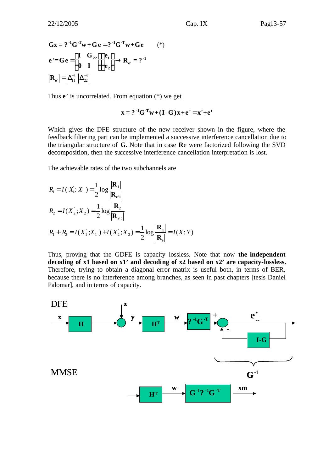$$
\mathbf{G}\mathbf{x} = ?^{-1}\mathbf{G}^{-T}\mathbf{w} + \mathbf{G}\mathbf{e} = ?^{-1}\mathbf{G}^{-T}\mathbf{w} + \mathbf{G}\mathbf{e}
$$
 (\*)  
\n
$$
\mathbf{e}' = \mathbf{G}\mathbf{e} = \begin{pmatrix} \mathbf{I} & \mathbf{G}_{22} \\ \mathbf{0} & \mathbf{I} \end{pmatrix} \begin{pmatrix} \mathbf{e}_1 \\ \mathbf{e}_2 \end{pmatrix} \rightarrow \mathbf{R}_{e'} = ?^{-1}
$$
  
\n
$$
|\mathbf{R}_{e'}| = |\Delta_{11}^{-1}||\Delta_{22}^{-1}|
$$

Thus **e**' is uncorrelated. From equation (\*) we get

$$
\mathbf{x} = ?^{-1} \mathbf{G}^{-T} \mathbf{w} + (\mathbf{I} \cdot \mathbf{G}) \mathbf{x} + \mathbf{e}' = \mathbf{x}' + \mathbf{e}'
$$

Which gives the DFE structure of the new receiver shown in the figure, where the feedback filtering part can be implemented a successive interference cancellation due to the triangular structure of **G**. Note that in case **R**e were factorized following the SVD decomposition, then the successive interference cancellation interpretation is lost.

The achievable rates of the two subchannels are

$$
R_1 = I(X_1; X_1) = \frac{1}{2} \log \frac{|\mathbf{R}_1|}{|\mathbf{R}_{e'1}|}
$$
  
\n
$$
R_2 = I(X_2; X_2) = \frac{1}{2} \log \frac{|\mathbf{R}_2|}{|\mathbf{R}_{e'2}|}
$$
  
\n
$$
R_1 + R_2 = I(X_1; X_1) + I(X_2; X_2) = \frac{1}{2} \log \frac{|\mathbf{R}_1|}{|\mathbf{R}_e|} = I(X; Y)
$$

Thus, proving that the GDFE is capacity lossless. Note that now **the independent decoding of x1 based on x1' and decoding of x2 based on x2' are capacity-lossless.**  Therefore, trying to obtain a diagonal error matrix is useful both, in terms of BER, because there is no interference among branches, as seen in past chapters [tesis Daniel Palomar], and in terms of capacity.

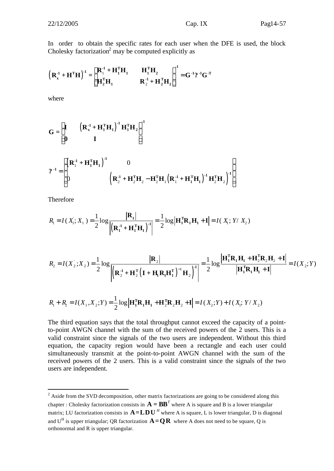In order to obtain the specific rates for each user when the DFE is used, the block Cholesky factorization<sup>2</sup> may be computed explicitly as

$$
\left(R_x^{*1} + H^{\mathrm{T}}H\right)^{1} = \begin{bmatrix} R_1^{*1} + H_1^{\mathrm{T}}H_1 & H_1^{\mathrm{T}}H_2 \\ H_2^{\mathrm{T}}H_1 & R_2^{*1} + H_2^{\mathrm{T}}H_2 \end{bmatrix}^{-1} = G^{-1} ?^{-1} G^{-T}
$$

where

$$
G = \begin{bmatrix} I & \left( \mathbf{R}_{x}^{.1} + \mathbf{H}_{1}^{T} \mathbf{H}_{1} \right)^{.1} \mathbf{H}_{1}^{T} \mathbf{H}_{2} \\ 0 & I \end{bmatrix}^{1}
$$

$$
2^{-1} = \begin{bmatrix} \left( \mathbf{R}_{1}^{.1} + \mathbf{H}_{1}^{T} \mathbf{H}_{1} \right)^{.1} & 0 \\ 0 & \left( \mathbf{R}_{2}^{.1} + \mathbf{H}_{2}^{T} \mathbf{H}_{2} - \mathbf{H}_{2}^{T} \mathbf{H}_{1} \left( \mathbf{R}_{1}^{.1} + \mathbf{H}_{1}^{T} \mathbf{H}_{1} \right)^{.1} \mathbf{H}_{2}^{T} \mathbf{H}_{2} \end{bmatrix}^{1}
$$

Therefore

$$
R_{\mathrm{l}} = I\left(X_{\mathrm{l}}; X_{\mathrm{l}}\right) = \frac{1}{2} \log \frac{\left|\mathbf{R}_{\mathrm{l}}\right|}{\left|\left(\mathbf{R}_{\mathrm{l}}^{4} + \mathbf{H}_{\mathrm{l}}^{T} \mathbf{H}_{\mathrm{l}}\right)^{-1}\right|} = \frac{1}{2} \log \left|\mathbf{H}_{\mathrm{l}}^{T} \mathbf{R}_{\mathrm{l}} \mathbf{H}_{\mathrm{l}} + \mathbf{I}\right| = I\left(X_{\mathrm{l}}; Y / X_{2}\right)
$$

$$
R_2 = I(X_2; X_2) = \frac{1}{2} \log \frac{|\mathbf{R}_2|}{\left| \left( \mathbf{R}_2^{\cdot 1} + \mathbf{H}_2^{\mathrm{T}} \left( \mathbf{I} + \mathbf{H}_1 \mathbf{R}_1 \mathbf{H}_1^{\mathrm{T}} \right)^{-1} \mathbf{H}_2 \right)^{\mathrm{T}} \right|} = \frac{1}{2} \log \frac{|\mathbf{H}_1^{\mathrm{T}} \mathbf{R}_1 \mathbf{H}_1 + \mathbf{H}_2^{\mathrm{T}} \mathbf{R}_2 \mathbf{H}_2 + \mathbf{I}|}{|\mathbf{H}_1^{\mathrm{T}} \mathbf{R}_1 \mathbf{H}_1 + \mathbf{I}|} = I(X_2; Y)
$$

$$
R_1 + R_2 = I(X_1, X_2; Y) = \frac{1}{2} \log \left| \mathbf{H}_1^{\mathrm{T}} \mathbf{R}_1 \mathbf{H}_1 + \mathbf{H}_2^{\mathrm{T}} \mathbf{R}_2 \mathbf{H}_2 + \mathbf{I} \right| = I(X_2; Y) + I(X_1; Y / X_2)
$$

The third equation says that the total throughput cannot exceed the capacity of a pointto-point AWGN channel with the sum of the received powers of the 2 users. This is a valid constraint since the signals of the two users are independent. Without this third equation, the capacity region would have been a rectangle and each user could simultaneously transmit at the point-to-point AWGN channel with the sum of the received powers of the 2 users. This is a valid constraint since the signals of the two users are independent.

<sup>&</sup>lt;sup>2</sup> Aside from the SVD decomposition, other matrix factorizations are going to be considered along this chapter : Cholesky factorization consists in  $\mathbf{A} = \mathbf{B}\mathbf{B}^T$  where A is square and B is a lower triangular matrix; LU factorization consists in  $A = LDU$ <sup>*H*</sup> where A is square, L is lower triangular, D is diagonal and U<sup>H</sup> is upper triangular; QR factorization  $\mathbf{A} = \mathbf{Q}\mathbf{R}$  where A does not need to be square, Q is orthonormal and R is upper triangular.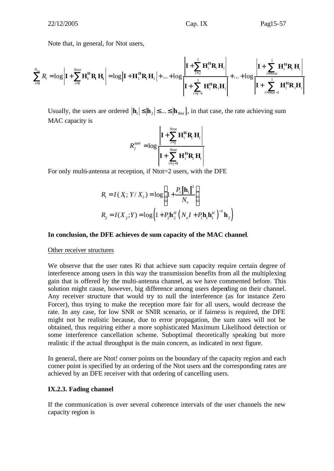Note that, in general, for Ntot users,

$$
\sum_{i=1}^{N_{tot}} R_i = \log \left| \mathbf{I} + \sum_{i=1}^{N_{tot}} \mathbf{H}_i^{\mathrm{H}} \mathbf{R}_i \mathbf{H}_i \right| = \log \left| \mathbf{I} + \mathbf{H}_1^{\mathrm{H}} \mathbf{R}_i \mathbf{H}_i \right| + \dots + \log \left| \mathbf{I} + \sum_{i=j-1}^{1} \mathbf{H}_i^{\mathrm{H}} \mathbf{R}_i \mathbf{H}_i \right| + \dots + \log \left| \mathbf{I} + \sum_{i=N_{tot}-1}^{1} \mathbf{H}_i^{\mathrm{H}} \mathbf{R}_i \mathbf{H}_i \right| + \sum_{i=N_{tot}-1}^{N_{tot}} \mathbf{H}_i^{\mathrm{H}} \mathbf{R}_i \mathbf{H}_i \right|
$$

Usually, the users are ordered  $|\mathbf{h}_1| \leq |\mathbf{h}_2| \leq ... \leq |\mathbf{h}_{N_{tot}}|$ , in that case, the rate achieving sum MAC capacity is

$$
R_j^{sum} = \log \frac{\left| \mathbf{I} + \sum_{i=j}^{Ntot} \mathbf{H}_i^{\mathrm{H}} \mathbf{R}_i \mathbf{H}_i \right|}{\left| \mathbf{I} + \sum_{i=j+1}^{Ntot} \mathbf{H}_i^{\mathrm{H}} \mathbf{R}_i \mathbf{H}_i \right|}
$$

For only multi-antenna at reception, if Ntot=2 users, with the DFE

$$
R_1 = I(X_1; Y / X_2) = \log \left( 1 + \frac{P_1 \|\mathbf{h}_1\|^2}{N_o} \right)
$$
  

$$
R_2 = I(X_2; Y) = \log \left( 1 + P_2 \mathbf{h}_2^H \left( N_o I + P_1 \mathbf{h}_1 \mathbf{h}_1^H \right)^{-1} \mathbf{h}_2 \right)
$$

#### **In conclusion, the DFE achieves de sum capacity of the MAC channel**.

#### Other receiver structures

We observe that the user rates Ri that achieve sum capacity require certain degree of interference among users in this way the transmission benefits from all the multiplexing gain that is offered by the multi-antenna channel, as we have commented before. This solution might cause, however, big difference among users depending on their channel. Any receiver structure that would try to null the interference (as for instance Zero Forcer), thus trying to make the reception more fair for all users, would decrease the rate. In any case, for low SNR or SNIR scenario, or if fairness is required, the DFE might not be realistic because, due to error propagation, the sum rates will not be obtained, thus requiring either a more sophisticated Maximum Likelihood detection or some interference cancellation scheme. Suboptimal theoretically speaking but more realistic if the actual throughput is the main concern, as indicated in next figure.

In general, there are Ntot! corner points on the boundary of the capacity region and each corner point is specified by an ordering of the Ntot users and the corresponding rates are achieved by an DFE receiver with that ordering of cancelling users.

#### **IX.2.3. Fading channel**

If the communication is over several coherence intervals of the user channels the new capacity region is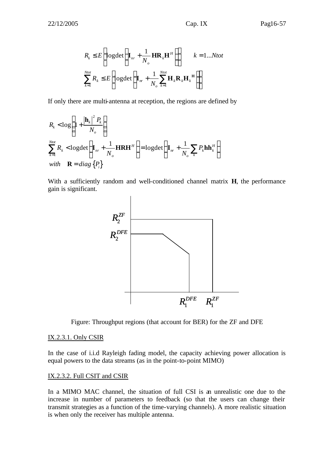$$
R_{k} \leq E \left[ \log \det \left( \mathbf{I}_{nr} + \frac{1}{N_o} \mathbf{H} \mathbf{R}_{k} \mathbf{H}^{H} \right) \right] \qquad k = 1...Not
$$
  

$$
\sum_{k=1}^{Ntot} R_{k} \leq E \left[ \log \det \left( \mathbf{I}_{nr} + \frac{1}{N_o} \sum_{k=1}^{Ntot} \mathbf{H}_{k} \mathbf{R}_{k} \mathbf{H}_{k}^{H} \right) \right]
$$

If only there are multi-antenna at reception, the regions are defined by

$$
R_{k} < \log\left(1 + \frac{|\mathbf{h}_{k}|^{2} P_{k}}{N_{o}}\right)
$$
\n
$$
\sum_{k=1}^{Ntot} R_{k} < \log\det\left(\mathbf{I}_{nr} + \frac{1}{N_{o}}\mathbf{H}\mathbf{R}\mathbf{H}^{H}\right) = \log\det\left(\mathbf{I}_{nr} + \frac{1}{N_{o}}\sum_{k} P_{k}\mathbf{h}\mathbf{h}_{k}^{H}\right)
$$
\nwith  $\mathbf{R} = diag\{P_{i}\}$ 

With a sufficiently random and well-conditioned channel matrix **H**, the performance gain is significant.



Figure: Throughput regions (that account for BER) for the ZF and DFE

#### IX.2.3.1. Only CSIR

In the case of i.i.d Rayleigh fading model, the capacity achieving power allocation is equal powers to the data streams (as in the point-to-point MIMO)

#### IX.2.3.2. Full CSIT and CSIR

In a MIMO MAC channel, the situation of full CSI is an unrealistic one due to the increase in number of parameters to feedback (so that the users can change their transmit strategies as a function of the time-varying channels). A more realistic situation is when only the receiver has multiple antenna.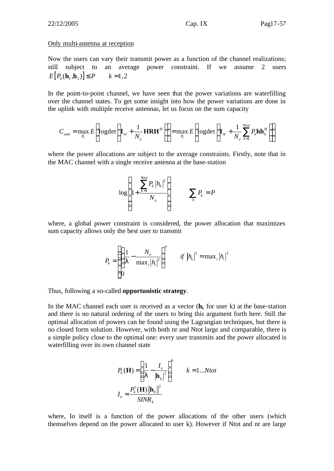#### Only multi-antenna at reception

Now the users can vary their transmit power as a function of the channel realizations; still subject to an average power constraint. If we assume 2 users  $E[P_k(\mathbf{h}_1, \mathbf{h}_2)] \leq P$   $k = 1, 2$ 

In the point-to-point channel, we have seen that the power variations are waterfilling over the channel states. To get some insight into how the power variations are done in the uplink with multiple receive antennas, let us focus on the sum capacity

$$
C_{sum} = \max_{P_k} E\left[ \log \det \left( \mathbf{I}_{nr} + \frac{1}{N_o} \mathbf{H} \mathbf{R} \mathbf{H}^H \right) \right] = \max_{P_k} E\left[ \log \det \left( \mathbf{I}_{nr} + \frac{1}{N_o} \sum_{k=1}^{Ntot} P_k \mathbf{h} \mathbf{h}_k^H \right) \right]
$$

where the power allocations are subject to the average constraints. Firstly, note that in the MAC channel with a single receive antenna at the base-station

$$
\log \left(1 + \frac{\sum_{k=1}^{Ntot} P_k |h_k|^2}{N_o}\right) \qquad \sum_k P_k = P
$$

where, a global power constraint is considered, the power allocation that maximizes sum capacity allows only the best user to transmit

$$
P_{k} = \begin{cases} \left(\frac{1}{I} - \frac{N_o}{\max_{i} |h_{i}|^{2}}\right)^{+} & \text{if } |h_{k}|^{2} = \max_{i} |h_{i}|^{2} \\ 0 & \text{otherwise} \end{cases}
$$

Thus, following a so-called **opportunistic strategy**.

In the MAC channel each user is received as a vector  $(h_k)$  for user k) at the base-station and there is no natural ordering of the users to bring this argument forth here. Still the optimal allocation of powers can be found using the Lagrangian techniques, but there is no closed form solution. However, with both nr and Ntot large and comparable, there is a simple policy close to the optimal one: every user transmits and the power allocated is waterfilling over its own channel state

$$
P_{k}(\mathbf{H}) = \left(\frac{1}{I} - \frac{I_o}{|\mathbf{h}_k|^2}\right)^{+}
$$
  

$$
I_o = \frac{P_{k}^{*}(\mathbf{H}) \left\|\mathbf{h}_k\right\|^2}{SINR_k}
$$

where, Io itself is a function of the power allocations of the other users (which themselves depend on the power allocated to user k). However if Ntot and nr are large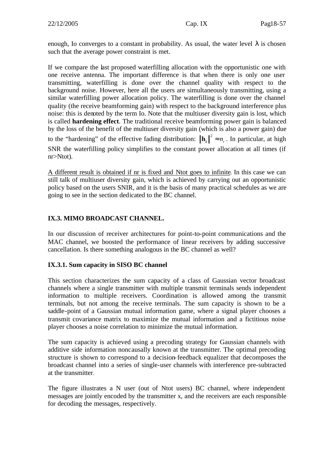enough, Io converges to a constant in probability. As usual, the water level  $\lambda$  is chosen such that the average power constraint is met.

If we compare the last proposed waterfilling allocation with the opportunistic one with one receive antenna. The important difference is that when there is only one user transmitting, waterfilling is done over the channel quality with respect to the background noise. However, here all the users are simultaneously transmitting, using a similar waterfilling power allocation policy. The waterfilling is done over the channel quality (the receive beamforming gain) with respect to the background interference plus noise: this is denoted by the term Io. Note that the multiuser diversity gain is lost, which is called **hardening effect**. The traditional receive beamforming power gain is balanced by the loss of the benefit of the multiuser diversity gain (which is also a power gain) due to the "hardening" of the effective fading distribution:  $\|\mathbf{h}_k\|^2 \approx n_r$ . In particular, at high SNR the waterfilling policy simplifies to the constant power allocation at all times (if nr>Ntot).

A different result is obtained if nr is fixed and Ntot goes to infinite. In this case we can still talk of multiuser diversity gain, which is achieved by carrying out an opportunistic policy based on the users SNIR, and it is the basis of many practical schedules as we are going to see in the section dedicated to the BC channel.

#### **IX.3. MIMO BROADCAST CHANNEL.**

In our discussion of receiver architectures for point-to-point communications and the MAC channel, we boosted the performance of linear receivers by adding successive cancellation. Is there something analogous in the BC channel as well?

#### **IX.3.1. Sum capacity in SISO BC channel**

This section characterizes the sum capacity of a class of Gaussian vector broadcast channels where a single transmitter with multiple transmit terminals sends independent information to multiple receivers. Coordination is allowed among the transmit terminals, but not among the receive terminals. The sum capacity is shown to be a saddle-point of a Gaussian mutual information game, where a signal player chooses a transmit covariance matrix to maximize the mutual information and a fictitious noise player chooses a noise correlation to minimize the mutual information.

The sum capacity is achieved using a precoding strategy for Gaussian channels with additive side information noncausally known at the transmitter. The optimal precoding structure is shown to correspond to a decision-feedback equalizer that decomposes the broadcast channel into a series of single-user channels with interference pre-subtracted at the transmitter.

The figure illustrates a N user (out of Ntot users) BC channel, where independent messages are jointly encoded by the transmitter x, and the receivers are each responsible for decoding the messages, respectively.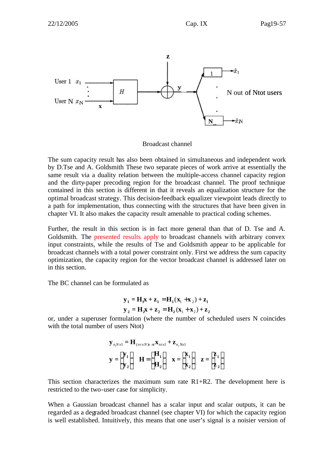

Broadcast channel

The sum capacity result has also been obtained in simultaneous and independent work by D.Tse and A. Goldsmith These two separate pieces of work arrive at essentially the same result via a duality relation between the multiple-access channel capacity region and the dirty-paper precoding region for the broadcast channel. The proof technique contained in this section is different in that it reveals an equalization structure for the optimal broadcast strategy. This decision-feedback equalizer viewpoint leads directly to a path for implementation, thus connecting with the structures that have been given in chapter VI. It also makes the capacity result amenable to practical coding schemes.

Further, the result in this section is in fact more general than that of D. Tse and A. Goldsmith. The presented results apply to broadcast channels with arbitrary convex input constraints, while the results of Tse and Goldsmith appear to be applicable for broadcast channels with a total power constraint only. First we address the sum capacity optimization, the capacity region for the vector broadcast channel is addressed later on in this section.

The BC channel can be formulated as

$$
\mathbf{y}_1 = \mathbf{H}_1 \mathbf{x} + \mathbf{z}_1 = \mathbf{H}_1 (\mathbf{x}_1 + \mathbf{x}_2) + \mathbf{z}_1
$$
  

$$
\mathbf{y}_2 = \mathbf{H}_2 \mathbf{x} + \mathbf{z}_2 = \mathbf{H}_2 (\mathbf{x}_1 + \mathbf{x}_2) + \mathbf{z}_2
$$

or, under a superuser formulation (where the number of scheduled users N coincides with the total number of users Ntot)

$$
\mathbf{y}_{n,Nx1} = \mathbf{H}_{(nrxN)x} m \mathbf{X}_{ntx1} + \mathbf{Z}_{n,Nx1}
$$
\n
$$
\mathbf{y} = \begin{bmatrix} \mathbf{y}_1 \\ \mathbf{y}_2 \end{bmatrix} \quad \mathbf{H} = \begin{bmatrix} \mathbf{H}_1 \\ \mathbf{H}_2 \end{bmatrix} \quad \mathbf{x} = \begin{bmatrix} \mathbf{x}_1 \\ \mathbf{x}_2 \end{bmatrix} \quad \mathbf{z} = \begin{bmatrix} \mathbf{z}_1 \\ \mathbf{z}_2 \end{bmatrix}
$$

This section characterizes the maximum sum rate  $R1+R2$ . The development here is restricted to the two-user case for simplicity.

When a Gaussian broadcast channel has a scalar input and scalar outputs, it can be regarded as a degraded broadcast channel (see chapter VI) for which the capacity region is well established. Intuitively, this means that one user's signal is a noisier version of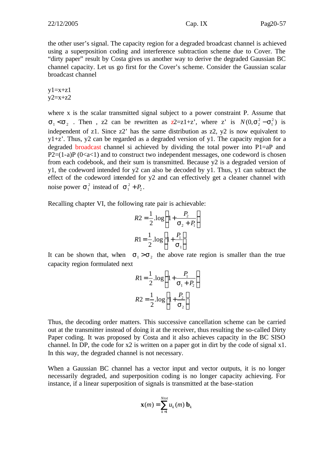the other user's signal. The capacity region for a degraded broadcast channel is achieved using a superposition coding and interference subtraction scheme due to Cover. The "dirty paper" result by Costa gives us another way to derive the degraded Gaussian BC channel capacity. Let us go first for the Cover's scheme. Consider the Gaussian scalar broadcast channel

 $y1=x+z1$  $y2=x+z2$ 

where x is the scalar transmitted signal subject to a power constraint P. Assume that  $s_1 < s_2$ . Then, z2 can be rewritten as z2=z1+z', where z' is  $N(0, s_2^2 - s_1^2)$  is independent of z1. Since z2' has the same distribution as z2, y2 is now equivalent to  $y1+z'$ . Thus, y2 can be regarded as a degraded version of y1. The capacity region for a degraded broadcast channel si achieved by dividing the total power into  $P1=AP$  and  $P2=(1-a)P(0 \le a \le 1)$  and to construct two independent messages, one codeword is chosen from each codebook, and their sum is transmitted. Because y2 is a degraded version of y1, the codeword intended for y2 can also be decoded by y1. Thus, y1 can subtract the effect of the codeword intended for y2 and can effectively get a cleaner channel with noise power  $\mathbf{s}_1^2$  instead of  $\mathbf{s}_1^2 + P_2$ .

Recalling chapter VI, the following rate pair is achievable:

$$
R2 = \frac{1}{2} \cdot \log \left( 1 + \frac{P_2}{\mathbf{s}_2 + P_1} \right)
$$

$$
R1 = \frac{1}{2} \cdot \log \left[ 1 + \frac{P_1}{\mathbf{s}_1} \right]
$$

It can be shown that, when  $s_1 > s_2$ , the above rate region is smaller than the true capacity region formulated next

$$
R1 = \frac{1}{2} \cdot \log \left( 1 + \frac{P_1}{\mathbf{s}_1 + P_2} \right)
$$

$$
R2 = \frac{1}{2} \cdot \log \left[ 1 + \frac{P_2}{\mathbf{s}_2} \right]
$$

Thus, the decoding order matters. This successive cancellation scheme can be carried out at the transmitter instead of doing it at the receiver, thus resulting the so-called Dirty Paper coding. It was proposed by Costa and it also achieves capacity in the BC SISO channel. In DP, the code for x2 is written on a paper got in dirt by the code of signal x1. In this way, the degraded channel is not necessary.

When a Gaussian BC channel has a vector input and vector outputs, it is no longer necessarily degraded, and superposition coding is no longer capacity achieving. For instance, if a linear superposition of signals is transmitted at the base-station

$$
\mathbf{x}(m) = \sum_{k=1}^{Ntot} u_k(m) \mathbf{b}_k
$$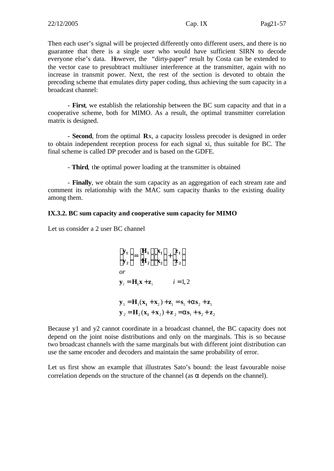Then each user's signal will be projected differently onto different users, and there is no guarantee that there is a single user who would have sufficient SIRN to decode everyone else's data. However, the "dirty-paper" result by Costa can be extended to the vector case to presubtract multiuser interference at the transmitter, again with no increase in transmit power. Next, the rest of the section is devoted to obtain the precoding scheme that emulates dirty paper coding, thus achieving the sum capacity in a broadcast channel:

- **First**, we establish the relationship between the BC sum capacity and that in a cooperative scheme, both for MIMO. As a result, the optimal transmitter correlation matrix is designed.

- **Second**, from the optimal **R**x, a capacity lossless precoder is designed in order to obtain independent reception process for each signal xi, thus suitable for BC. The final scheme is called DP precoder and is based on the GDFE.

- **Third**, the optimal power loading at the transmitter is obtained

- **Finally**, we obtain the sum capacity as an aggregation of each stream rate and comment its relationship with the MAC sum capacity thanks to the existing duality among them.

#### **IX.3.2. BC sum capacity and cooperative sum capacity for MIMO**

Let us consider a 2 user BC channel

$$
\begin{bmatrix} \mathbf{y}_1 \\ \mathbf{y}_2 \end{bmatrix} = \begin{bmatrix} \mathbf{H}_1 \\ \mathbf{H}_2 \end{bmatrix} \begin{bmatrix} \mathbf{x}_1 \\ \mathbf{x}_2 \end{bmatrix} + \begin{bmatrix} \mathbf{z}_1 \\ \mathbf{z}_2 \end{bmatrix}
$$
  
\nor  
\n
$$
\mathbf{y}_i = \mathbf{H}_1 \mathbf{x} + \mathbf{z}_i \qquad i = 1, 2
$$
  
\n
$$
\mathbf{y}_1 = \mathbf{H}_1 (\mathbf{x}_1 + \mathbf{x}_2) + \mathbf{z}_1 = \mathbf{s}_1 + \mathbf{a} \mathbf{s}_2 + \mathbf{z}_1
$$
  
\n
$$
\mathbf{y}_2 = \mathbf{H}_2 (\mathbf{x}_1 + \mathbf{x}_2) + \mathbf{z}_2 = \mathbf{a} \mathbf{s}_1 + \mathbf{s}_2 + \mathbf{z}_2
$$

Because y1 and y2 cannot coordinate in a broadcast channel, the BC capacity does not depend on the joint noise distributions and only on the marginals. This is so because two broadcast channels with the same marginals but with different joint distribution can use the same encoder and decoders and maintain the same probability of error.

Let us first show an example that illustrates Sato's bound: the least favourable noise correlation depends on the structure of the channel (as  $\alpha$  depends on the channel).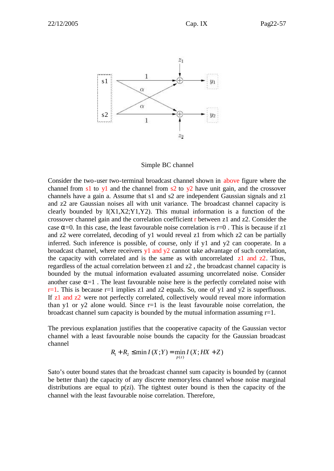

Simple BC channel

Consider the two-user two-terminal broadcast channel shown in above figure where the channel from s1 to y1 and the channel from s2 to  $\sqrt{2}$  have unit gain, and the crossover channels have a gain a. Assume that s1 and s2 are independent Gaussian signals and z1 and z2 are Gaussian noises all with unit variance. The broadcast channel capacity is clearly bounded by  $I(X1,X2;Y1,Y2)$ . This mutual information is a function of the crossover channel gain and the correlation coefficient  $\bf{r}$  between  $\bf{z}1$  and  $\bf{z}2$ . Consider the case  $\alpha$ =0. In this case, the least favourable noise correlation is r=0. This is because if z1 and z2 were correlated, decoding of y1 would reveal z1 from which z2 can be partially inferred. Such inference is possible, of course, only if y1 and y2 can cooperate. In a broadcast channel, where receivers  $y1$  and  $y2$  cannot take advantage of such correlation, the capacity with correlated and is the same as with uncorrelated  $z1$  and  $z2$ . Thus, regardless of the actual correlation between z1 and z2 , the broadcast channel capacity is bounded by the mutual information evaluated assuming uncorrelated noise. Consider another case  $\alpha=1$ . The least favourable noise here is the perfectly correlated noise with  $r=1$ . This is because r=1 implies z1 and z2 equals. So, one of y1 and y2 is superfluous. If z1 and z2 were not perfectly correlated, collectively would reveal more information than y1 or y2 alone would. Since  $r=1$  is the least favourable noise correlation, the broadcast channel sum capacity is bounded by the mutual information assuming  $r=1$ .

The previous explanation justifies that the cooperative capacity of the Gaussian vector channel with a least favourable noise bounds the capacity for the Gaussian broadcast channel

$$
R_1 + R_2 \leq \min I(X;Y) = \min_{p(z)} I(X;HX + Z)
$$

Sato's outer bound states that the broadcast channel sum capacity is bounded by (cannot be better than) the capacity of any discrete memoryless channel whose noise marginal distributions are equal to  $p(z)$ . The tightest outer bound is then the capacity of the channel with the least favourable noise correlation. Therefore,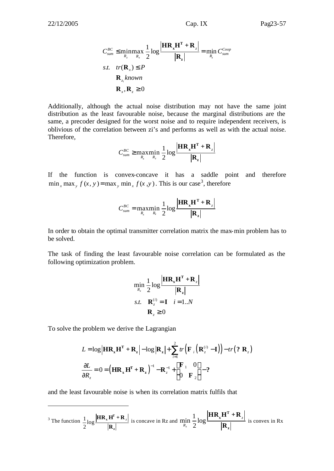$$
C_{sum}^{BC} \leq \min_{R_z} \max_{R_x} \frac{1}{2} \log \frac{|\mathbf{HR}_x \mathbf{H}^T + \mathbf{R}_z|}{|\mathbf{R}_z|} = \min_{R_z} C_{sum}^{Coop}
$$
  
s.t.  $tr(\mathbf{R}_x) \leq P$   

$$
\mathbf{R}_{z_i} known
$$
  

$$
\mathbf{R}_x, \mathbf{R}_z \geq 0
$$

Additionally, although the actual noise distribution may not have the same joint distribution as the least favourable noise, because the marginal distributions are the same, a precoder designed for the worst noise and to require independent receivers, is oblivious of the correlation between zi's and performs as well as with the actual noise. Therefore,

$$
C_{sum}^{BC} \ge \underset{R_x}{\text{max}} \underset{R_z}{\text{min}} \frac{1}{2} \log \frac{\left| \mathbf{HR}_{x} \mathbf{H}^{\mathrm{T}} + \mathbf{R}_{z} \right|}{\left| \mathbf{R}_{z} \right|}
$$

If the function is convex-concave it has a saddle point and therefore  $\min_{x} \max_{y} f(x, y) = \max_{y} \min_{x} f(x, y)$ . This is our case<sup>3</sup>, therefore

$$
C_{sum}^{BC} = \underset{R_x}{\text{max}} \underset{R_z}{\text{min}} \frac{1}{2} \log \frac{\left| \mathbf{HR_xH}^T + \mathbf{R}_z \right|}{\left| \mathbf{R}_z \right|}
$$

In order to obtain the optimal transmitter correlation matrix the max-min problem has to be solved.

The task of finding the least favourable noise correlation can be formulated as the following optimization problem.

$$
\min_{R_z} \frac{1}{2} \log \frac{\left| \mathbf{H} \mathbf{R_x} \mathbf{H}^T + \mathbf{R}_z \right|}{\left| \mathbf{R}_z \right|}
$$
  
s.t.  $\mathbf{R}_z^{(i)} = \mathbf{I}$   $i = 1..N$   
 $\mathbf{R}_z \ge 0$ 

To solve the problem we derive the Lagrangian

l

$$
L = \log \left| \mathbf{HR}_{x} \mathbf{H}^{T} + \mathbf{R}_{z} \right| - \log \left| \mathbf{R}_{z} \right| + \sum_{i=1}^{2} tr \left( \mathbf{F}_{i} \left( \mathbf{R}_{z}^{(i)} - \mathbf{I} \right) \right) - tr(2 \mathbf{R}_{z})
$$

$$
\frac{\partial L}{\partial R_{z}} = 0 = \left( \mathbf{HR}_{x} \mathbf{H}^{T} + \mathbf{R}_{z} \right)^{-1} - \mathbf{R}_{z}^{-1} + \left[ \mathbf{F}_{1} \quad 0 \atop 0 \quad \mathbf{F}_{2} \right] - 2
$$

and the least favourable noise is when its correlation matrix fulfils that

<sup>3</sup> The function 
$$
\frac{1}{2} \log \frac{|\mathbf{HR}_x \mathbf{H}^T + \mathbf{R}_z|}{|\mathbf{R}_z|}
$$
 is concave in Rz and  $\min_{R_z} \frac{1}{2} \log \frac{|\mathbf{HR}_x \mathbf{H}^T + \mathbf{R}_z|}{|\mathbf{R}_z|}$  is convex in Rx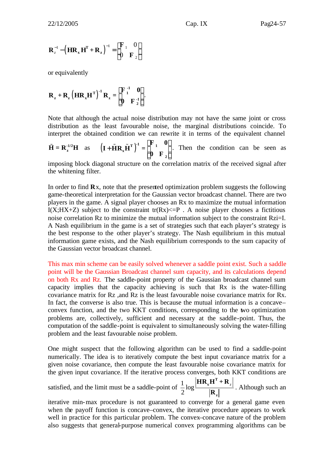$$
\mathbf{R}_{z}^{-1} - \left(\mathbf{H}\mathbf{R}_{x}\mathbf{H}^{\mathrm{T}} + \mathbf{R}_{z}\right)^{-1} = \begin{bmatrix} \mathbf{F}_{1} & 0 \\ 0 & \mathbf{F}_{2} \end{bmatrix}
$$

or equivalently

$$
\mathbf{R}_{z} + \mathbf{R}_{z} \left( \mathbf{H} \mathbf{R}_{x} \mathbf{H}^{\mathrm{T}} \right)^{-1} \mathbf{R}_{z} = \begin{bmatrix} \mathbf{F}_{1}^{-1} & \mathbf{0} \\ \mathbf{0} & \mathbf{F}_{2}^{-1} \end{bmatrix}.
$$

Note that although the actual noise distribution may not have the same joint or cross distribution as the least favourable noise, the marginal distributions coincide. To interpret the obtained condition we can rewrite it in terms of the equivalent channel

$$
\tilde{\mathbf{H}} = \mathbf{R}_{\mathbf{z}}^{1/2} \mathbf{H} \text{ as } \left( \mathbf{I} + \tilde{\mathbf{H}} \mathbf{R}_{\mathbf{x}} \tilde{\mathbf{H}}^{\mathrm{T}} \right)^{-1} = \begin{bmatrix} \mathbf{F}_{1} & \mathbf{0} \\ \mathbf{0} & \mathbf{F}_{2} \end{bmatrix}. \text{ Then the condition can be seen as}
$$

imposing block diagonal structure on the correlation matrix of the received signal after the whitening filter.

In order to find **R**x, note that the presented optimization problem suggests the following game-theoretical interpretation for the Gaussian vector broadcast channel. There are two players in the game. A signal player chooses an Rx to maximize the mutual information I(X;HX+Z) subject to the constraint tr(Rx) $\leq$ -P. A noise player chooses a fictitious noise correlation  $Rz$  to minimize the mutual information subject to the constraint  $Rzi=I$ . A Nash equilibrium in the game is a set of strategies such that each player's strategy is the best response to the other player's strategy. The Nash equilibrium in this mutual information game exists, and the Nash equilibrium corresponds to the sum capacity of the Gaussian vector broadcast channel.

This max min scheme can be easily solved whenever a saddle point exist. Such a saddle point will be the Gaussian Broadcast channel sum capacity, and its calculations depend on both Rx and Rz. The saddle-point property of the Gaussian broadcast channel sum capacity implies that the capacity achieving is such that Rx is the water-filling covariance matrix for Rz ,and Rz is the least favourable noise covariance matrix for Rx. In fact, the converse is also true. This is because the mutual information is a concave– convex function, and the two KKT conditions, corresponding to the two optimization problems are, collectively, sufficient and necessary at the saddle-point. Thus, the computation of the saddle-point is equivalent to simultaneously solving the water-filling problem and the least favourable noise problem.

One might suspect that the following algorithm can be used to find a saddle-point numerically. The idea is to iteratively compute the best input covariance matrix for a given noise covariance, then compute the least favourable noise covariance matrix for the given input covariance. If the iterative process converges, both KKT conditions are

satisfied, and the limit must be a saddle-point of  $\frac{1}{2}$  log 2 *z* **T x z**  $\mathbf{HR}_{\mathbf{x}}\mathbf{H}^{\mathrm{T}} + \mathbf{R}$ **R** . Although such an

iterative min-max procedure is not guaranteed to converge for a general game even when the payoff function is concave–convex, the iterative procedure appears to work well in practice for this particular problem. The convex–concave nature of the problem also suggests that general-purpose numerical convex programming algorithms can be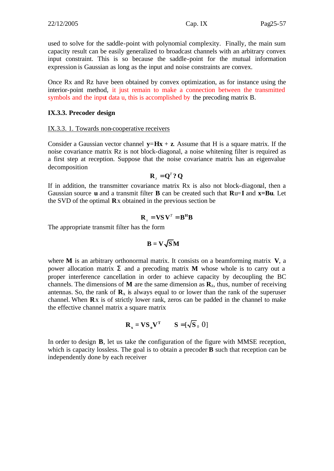used to solve for the saddle-point with polynomial complexity. Finally, the main sum capacity result can be easily generalized to broadcast channels with an arbitrary convex input constraint. This is so because the saddle-point for the mutual information expression is Gaussian as long as the input and noise constraints are convex.

Once Rx and Rz have been obtained by convex optimization, as for instance using the interior-point method, it just remain to make a connection between the transmitted symbols and the input data u, this is accomplished by the precoding matrix B.

#### **IX.3.3. Precoder design**

#### IX.3.3. 1. Towards non-cooperative receivers

Consider a Gaussian vector channel  $\mathbf{v} = \mathbf{Hx} + \mathbf{z}$ . Assume that H is a square matrix. If the noise covariance matrix Rz is not block-diagonal, a noise whitening filter is required as a first step at reception. Suppose that the noise covariance matrix has an eigenvalue decomposition

$$
\mathbf{R}_{z} = \mathbf{Q}^{T} \mathbf{?} \mathbf{Q}
$$

If in addition, the transmitter covariance matrix Rx is also not block-diagonal, then a Gaussian source **u** and a transmit filter **B** can be created such that **R**u=**I** and **x=Bu**. Let the SVD of the optimal **R**x obtained in the previous section be

$$
\mathbf{R}_{x} = \mathbf{V} \mathbf{S} \mathbf{V}^{T} = \mathbf{B}^{\mathbf{H}} \mathbf{B}
$$

The appropriate transmit filter has the form

$$
\mathbf{B} = \mathbf{V} \sqrt{\mathbf{S}} \mathbf{M}
$$

where **M** is an arbitrary orthonormal matrix. It consists on a beamforming matrix **V**, a power allocation matrix **S** and a precoding matrix **M** whose whole is to carry out a proper interference cancellation in order to achieve capacity by decoupling the BC channels. The dimensions of **M** are the same dimension as  $\mathbf{R}_z$ , thus, number of receiving antennas. So, the rank of  $\mathbf{R}_x$  is always equal to or lower than the rank of the superuser channel. When **R**x is of strictly lower rank, zeros can be padded in the channel to make the effective channel matrix a square matrix

$$
\mathbf{R}_{\mathbf{x}} = \mathbf{V}\mathbf{S}_{\mathbf{o}}\mathbf{V}^{\mathbf{T}} \qquad \mathbf{S} = [\sqrt{\mathbf{S}}_{0} \ 0]
$$

In order to design **B**, let us take the configuration of the figure with MMSE reception, which is capacity lossless. The goal is to obtain a precoder **B** such that reception can be independently done by each receiver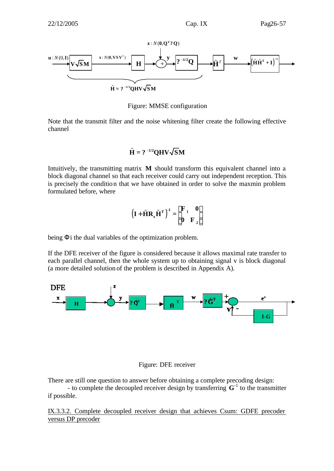

Figure: MMSE configuration

Note that the transmit filter and the noise whitening filter create the following effective channel

## $\tilde{\mathbf{H}} = ? \cdot 1/2$ **OHV** $\sqrt{SM}$

Intuitively, the transmitting matrix **M** should transform this equivalent channel into a block diagonal channel so that each receiver could carry out independent reception. This is precisely the condition that we have obtained in order to solve the maxmin problem formulated before, where

$$
\left(I + \tilde{H}R_x\tilde{H}^T\right)^{-1} = \begin{bmatrix} F & 0 \\ 0 & F \end{bmatrix}
$$

being **F**i the dual variables of the optimization problem.

If the DFE receiver of the figure is considered because it allows maximal rate transfer to each parallel channel, then the whole system up to obtaining signal v is block diagonal (a more detailed solution of the problem is described in Appendix A).



#### Figure: DFE receiver

There are still one question to answer before obtaining a complete precoding design:

- to complete the decoupled receiver design by transferring  $G^{-1}$  to the transmitter if possible.

IX.3.3.2. Complete decoupled receiver design that achieves Csum: GDFE precoder versus DP precoder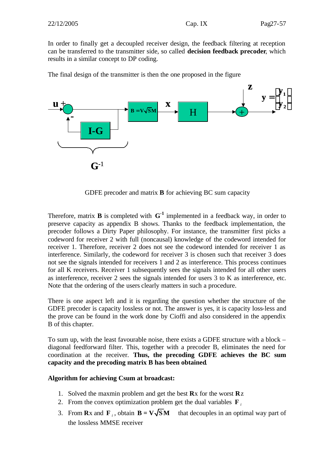In order to finally get a decoupled receiver design, the feedback filtering at reception can be transferred to the transmitter side, so called **decision feedback precoder**, which results in a similar concept to DP coding.

The final design of the transmitter is then the one proposed in the figure



GDFE precoder and matrix **B** for achieving BC sum capacity

Therefore, matrix **B** is completed with  $G^{-1}$  implemented in a feedback way, in order to preserve capacity as appendix B shows. Thanks to the feedback implementation, the precoder follows a Dirty Paper philosophy. For instance, the transmitter first picks a codeword for receiver 2 with full (noncausal) knowledge of the codeword intended for receiver 1. Therefore, receiver 2 does not see the codeword intended for receiver 1 as interference. Similarly, the codeword for receiver 3 is chosen such that receiver 3 does not see the signals intended for receivers 1 and 2 as interference. This process continues for all K receivers. Receiver 1 subsequently sees the signals intended for all other users as interference, receiver 2 sees the signals intended for users 3 to K as interference, etc. Note that the ordering of the users clearly matters in such a procedure.

There is one aspect left and it is regarding the question whether the structure of the GDFE precoder is capacity lossless or not. The answer is yes, it is capacity loss-less and the prove can be found in the work done by Cioffi and also considered in the appendix B of this chapter.

To sum up, with the least favourable noise, there exists a GDFE structure with a block – diagonal feedforward filter. This, together with a precoder B, eliminates the need for coordination at the receiver. **Thus, the precoding GDFE achieves the BC sum capacity and the precoding matrix B has been obtained**.

#### **Algorithm for achieving Csum at broadcast:**

- 1. Solved the maxmin problem and get the best **R**x for the worst **R**z
- 2. From the convex optimization problem get the dual variables **F** *<sup>i</sup>*
- 3. From **R**x and **F**<sub>*i*</sub>, obtain **B** = **V** $\sqrt{SM}$  that decouples in an optimal way part of the lossless MMSE receiver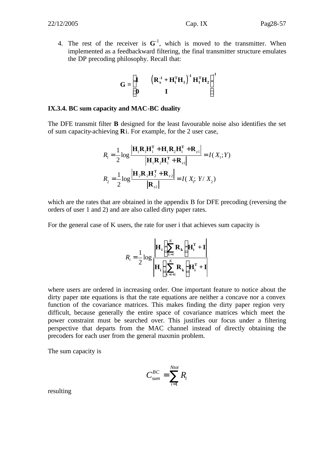4. The rest of the receiver is  $G^{-1}$ , which is moved to the transmitter. When implemented as a feedbackward filtering, the final transmitter structure emulates the DP precoding philosophy. Recall that:

$$
\mathbf{G} = \begin{bmatrix} \mathbf{I} & \left( \mathbf{R}_{\mathbf{x}}^{.1} + \mathbf{H}_{1}^{\mathrm{T}} \mathbf{H}_{1} \right)^{1} \mathbf{H}_{1}^{\mathrm{T}} \mathbf{H}_{2} \\ \mathbf{0} & \mathbf{I} \end{bmatrix}^{1}
$$

#### **IX.3.4. BC sum capacity and MAC-BC duality**

The DFE transmit filter **B** designed for the least favourable noise also identifies the set of sum capacity-achieving **R**i. For example, for the 2 user case,

$$
R_{1} = \frac{1}{2} \log \frac{\left| \mathbf{H}_{1} \mathbf{R}_{1} \mathbf{H}_{1}^{T} + \mathbf{H}_{1} \mathbf{R}_{2} \mathbf{H}_{1}^{T} + \mathbf{R}_{z1} \right|}{\left| \mathbf{H}_{1} \mathbf{R}_{2} \mathbf{H}_{1}^{T} + \mathbf{R}_{z1} \right|} = I(X_{1}; Y)
$$

$$
R_{2} = \frac{1}{2} \log \frac{\left| \mathbf{H}_{2} \mathbf{R}_{2} \mathbf{H}_{2}^{T} + \mathbf{R}_{z2} \right|}{\left| \mathbf{R}_{z2} \right|} = I(X_{1}; Y / X_{2})
$$

which are the rates that are obtained in the appendix B for DFE precoding (reversing the orders of user 1 and 2) and are also called dirty paper rates.

For the general case of K users, the rate for user i that achieves sum capacity is

$$
R_{i} = \frac{1}{2} \log \left| \mathbf{H}_{i} \left( \sum_{k=i}^{K} \mathbf{R}_{k} \right) \mathbf{H}_{i}^{T} + \mathbf{I} \right|
$$

$$
\mathbf{H}_{i} \left( \sum_{k=i+1}^{K} \mathbf{R}_{k} \right) \mathbf{H}_{i}^{T} + \mathbf{I}
$$

where users are ordered in increasing order. One important feature to notice about the dirty paper rate equations is that the rate equations are neither a concave nor a convex function of the covariance matrices. This makes finding the dirty paper region very difficult, because generally the entire space of covariance matrices which meet the power constraint must be searched over. This justifies our focus under a filtering perspective that departs from the MAC channel instead of directly obtaining the precoders for each user from the general maxmin problem.

The sum capacity is

$$
C_{sum}^{BC} = \sum_{i=1}^{Ntot} R_i
$$

resulting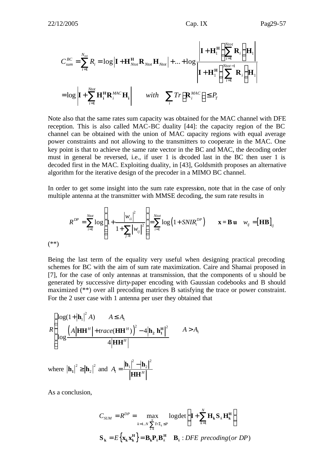$$
C_{sum}^{BC} = \sum_{i=1}^{N_{tot}} R_i = \log \left| \mathbf{I} + \mathbf{H}_{Ntot}^{\mathrm{H}} \mathbf{R}_{Ntot} \mathbf{H}_{Ntot} \right| + ... + \log \frac{\left| \mathbf{I} + \mathbf{H}_1^{\mathrm{H}} \left( \sum_{i=1}^{N_{tot}} \mathbf{R}_i \right) \mathbf{H}_1 \right|}{\left| \mathbf{I} + \mathbf{H}_1^{\mathrm{H}} \left( \sum_{i=1}^{N_{tot}-1} \mathbf{R}_i \right) \mathbf{H}_1 \right|}
$$
  
=  $\log \left| \mathbf{I} + \sum_{i=1}^{N_{tot}} \mathbf{H}_i^{\mathrm{H}} \mathbf{R}_i^{MAC} \mathbf{H}_i \right|$  with  $\sum_i Tr \left[ \mathbf{R}_i^{MAC} \right] \le P_T$ 

Note also that the same rates sum capacity was obtained for the MAC channel with DFE reception. This is also called MAC-BC duality [44]: the capacity region of the BC channel can be obtained with the union of MAC capacity regions with equal average power constraints and not allowing to the transmitters to cooperate in the MAC. One key point is that to achieve the same rate vector in the BC and MAC, the decoding order must in general be reversed, i.e., if user 1 is decoded last in the BC then user 1 is decoded first in the MAC. Exploiting duality, in [43], Goldsmith proposes an alternative algorithm for the iterative design of the precoder in a MIMO BC channel.

In order to get some insight into the sum rate expression, note that in the case of only multiple antenna at the transmitter with MMSE decoding, the sum rate results in

$$
R^{DP} = \sum_{i=1}^{Ntot} \log \left( 1 + \frac{|w_{ii}|^2}{1 + \sum_{j>i} |w_{ij}|^2} \right) = \sum_{i=1}^{Ntot} \log \left( 1 + SNIR_i^{DP} \right) \qquad \mathbf{x} = \mathbf{B} \mathbf{u} \quad w_{ij} = [\mathbf{H}\mathbf{B}]_{ij}
$$
\n
$$
(*)
$$

Being the last term of the equality very useful when designing practical precoding schemes for BC with the aim of sum rate maximization. Caire and Shamai proposed in [7], for the case of only antennas at transmission, that the components of u should be generated by successive dirty-paper encoding with Gaussian codebooks and B should maximized (\*\*) over all precoding matrices B satisfying the trace or power constraint. For the 2 user case with 1 antenna per user they obtained that

$$
R\begin{cases} \log(1+|\mathbf{h}_1|^2 A) & A \le A_1 \\ \log\frac{\left(A|\mathbf{H}\mathbf{H}^H| + trace(\mathbf{H}\mathbf{H}^H)\right)^2 - 4|\mathbf{h}_2 \mathbf{h}_1^H|^2}{4|\mathbf{H}\mathbf{H}^H|} & A > A_1 \end{cases}
$$

where  $|\mathbf{h}_1|^2 \geq |\mathbf{h}_2|^2$  and 2  $\vert \cdot \vert^2$  $_1$  –  $\mu_2$  $A_{\rm l} = \frac{|{\bf r} \cdot {\bf r}|}{\|{\bf r} \cdot {\bf r} \|}$ − =  $\mathbf{h}_{1}^{\perp}$  -  $\vert \mathbf{h}_{2} \vert$ **HH**

As a conclusion,

$$
C_{SUM} = R^{DP} = \max_{k=1..N} \sum_{\sum_{k=1}^{N} Tr\Sigma_k \le P} \text{logdet} \left( \mathbf{I} + \sum_{k=1}^{N} \mathbf{H}_k \mathbf{S}_k \mathbf{H}_k^{\mathbf{H}} \right)
$$
  

$$
\mathbf{S}_k = E \left\{ \mathbf{x}_k \mathbf{x}_k^{\mathbf{H}} \right\} = \mathbf{B}_k \mathbf{P}_k \mathbf{B}_k^{\mathbf{H}} \quad \mathbf{B}_k : DFE \text{ preceding (or DP)}
$$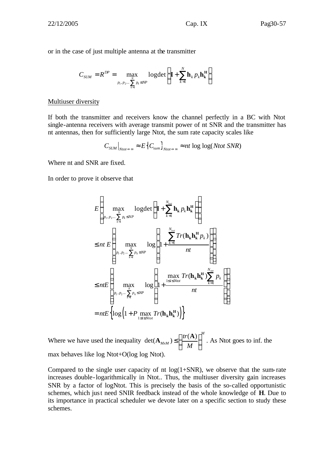or in the case of just multiple antenna at the transmitter

$$
C_{SUM} = R^{DP} = \max_{\substack{N \\ p_1, p_2, \dots \sum_{k=1}^{N} p_k \le NP}} log \det \left( \mathbf{I} + \sum_{k=1}^{N} \mathbf{h}_k p_k \mathbf{h}_k^H \right)
$$

#### Multiuser diversity

If both the transmitter and receivers know the channel perfectly in a BC with Ntot single-antenna receivers with average transmit power of nt SNR and the transmitter has nt antennas, then for sufficiently large Ntot, the sum rate capacity scales like

$$
C_{\text{SUM}}\big|_{\text{Ntot}\to\infty} \approx E\big\{C_{\text{sum}}\big\}_{\text{Ntot}\to\infty} \approx nt \log\log(\text{Ntot SNR})
$$

Where nt and SNR are fixed.

In order to prove it observe that

$$
E\left\{\max_{p_1, p_2, \dots, \sum_{k=1}^{N} p_k \le NP} \log \det \left(\mathbf{I} + \sum_{k=1}^{N_{tot}} \mathbf{h}_k p_k \mathbf{h}_k^{\mathbf{H}} \right)\right\}
$$
  
\n
$$
\le nt E\left\{\max_{p_1, p_2, \dots, \sum_{k=1}^{N} p_k \le NP} \log \left(1 + \frac{\sum_{k=1}^{N_{tot}} Tr(\mathbf{h}_k \mathbf{h}_k^{\mathbf{H}} p_k)}{nt}\right)\right\}
$$
  
\n
$$
\le nt E\left\{\max_{p_1, p_2, \dots, \sum_{k=1}^{N} p_k \le NP} \log \left(1 + \frac{\max_{1 \le i \le N_{tot}} Tr(\mathbf{h}_k \mathbf{h}_k^{\mathbf{H}}) \sum_{k=1}^{N_{tot}} p_k}{nt}\right)\right\}
$$
  
\n
$$
= nt E\left\{\log \left(1 + P \max_{1 \le i \le N_{tot}} Tr(\mathbf{h}_k \mathbf{h}_k^{\mathbf{H}})\right)\right\}
$$

Where we have used the inequality  $\det(A_{M \times M}) \leq \left(\frac{tr(A)}{1 - e^{2\pi i}}\right)^M$ *MxM tr*  $\mathbf{A}_{M \times M}$ )  $\leq \left(\frac{tr(\mathbf{A})}{M}\right)^M$ . As Ntot goes to inf. the max behaves like log Ntot+O(log log Ntot).

Compared to the single user capacity of nt  $log(1+SNR)$ , we observe that the sum-rate increases double-logarithmically in Ntot.. Thus, the multiuser diversity gain increases SNR by a factor of logNtot. This is precisely the basis of the so-called opportunistic schemes, which just need SNIR feedback instead of the whole knowledge of **H**. Due to its importance in practical scheduler we devote later on a specific section to study these schemes.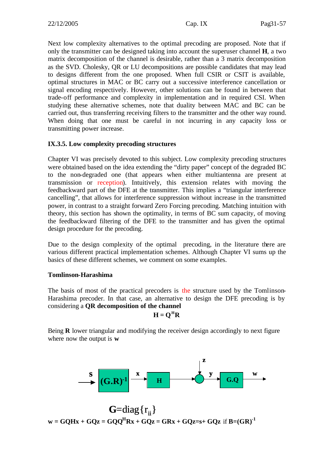Next low complexity alternatives to the optimal precoding are proposed. Note that if only the transmitter can be designed taking into account the superuser channel **H**, a two matrix decomposition of the channel is desirable, rather than a 3 matrix decomposition as the SVD. Cholesky, QR or LU decompositions are possible candidates that may lead to designs different from the one proposed. When full CSIR or CSIT is available, optimal structures in MAC or BC carry out a successive interference cancellation or signal encoding respectively. However, other solutions can be found in between that trade-off performance and complexity in implementation and in required CSI. When studying these alternative schemes, note that duality between MAC and BC can be carried out, thus transferring receiving filters to the transmitter and the other way round. When doing that one must be careful in not incurring in any capacity loss or transmitting power increase.

#### **IX.3.5. Low complexity precoding structures**

Chapter VI was precisely devoted to this subject. Low complexity precoding structures were obtained based on the idea extending the "dirty paper" concept of the degraded BC to the non-degraded one (that appears when either multiantenna are present at transmission or reception). Intuitively, this extension relates with moving the feedbackward part of the DFE at the transmitter. This implies a "triangular interference cancelling", that allows for interference suppression without increase in the transmitted power, in contrast to a straight forward Zero Forcing precoding. Matching intuition with theory, this section has shown the optimality, in terms of BC sum capacity, of moving the feedbackward filtering of the DFE to the transmitter and has given the optimal design procedure for the precoding.

Due to the design complexity of the optimal precoding, in the literature there are various different practical implementation schemes. Although Chapter VI sums up the basics of these different schemes, we comment on some examples.

#### **Tomlinson-Harashima**

The basis of most of the practical precoders is the structure used by the Tomlinson-Harashima precoder. In that case, an alternative to design the DFE precoding is by considering a **QR decomposition of the channel**

$$
\mathbf{H} = \mathbf{Q}^{\mathrm{H}} \mathbf{R}
$$

Being **R** lower triangular and modifying the receiver design accordingly to next figure where now the output is **w** 



 $w = GQHx + GQz = GQQ^HRx + GQz = GRx + GQz = s + GQz$  if  $B=(GR)^{-1}$  $\mathbf{G}$ =diag $\{\mathbf{r}_{ii}\}$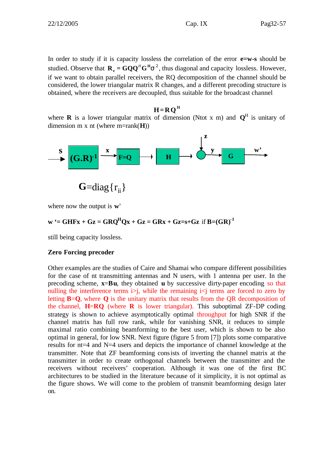In order to study if it is capacity lossless the correlation of the error **e=w-s** should be studied. Observe that  $\mathbf{R}_{e} = \mathbf{G} \mathbf{Q} \mathbf{Q}^{H} \mathbf{G}^{H} \mathbf{s}^{2}$ , thus diagonal and capacity lossless. However, if we want to obtain parallel receivers, the RQ decomposition of the channel should be considered, the lower triangular matrix R changes, and a different precoding structure is obtained, where the receivers are decoupled, thus suitable for the broadcast channel

#### $H = RQ<sup>H</sup>$

where **R** is a lower triangular matrix of dimension (Ntot x m) and  $Q^H$  is unitary of dimension m x nt (where m=rank(**H**))



where now the output is **w**'

### $\mathbf{w}$  '= GHFx + Gz = GRQ<sup>H</sup>Qx + Gz = GRx + Gz=s+Gz if  $\mathbf{B}=(\mathbf{GR})^{-1}$

still being capacity lossless.

#### **Zero Forcing precoder**

Other examples are the studies of Caire and Shamai who compare different possibilities for the case of nt transmitting antennas and N users, with 1 antenna per user. In the precoding scheme, **x**=**Bu**, they obtained **u** by successive dirty-paper encoding so that nulling the interference terms  $\infty$ , while the remaining  $i\le j$  terms are forced to zero by letting **B**=**Q**, where **Q** is the unitary matrix that results from the QR decomposition of the channel,  $H=RQ$  (where  $R$  is lower triangular). This suboptimal ZF-DP coding strategy is shown to achieve asymptotically optimal throughput for high SNR if the channel matrix has full row rank, while for vanishing SNR, it reduces to simple maximal ratio combining beamforming to the best user, which is shown to be also optimal in general, for low SNR. Next figure (figure 5 from [7]) plots some comparative results for nt=4 and N=4 users and depicts the importance of channel knowledge at the transmitter. Note that ZF beamforming consists of inverting the channel matrix at the transmitter in order to create orthogonal channels between the transmitter and the receivers without receivers' cooperation. Although it was one of the first BC architectures to be studied in the literature because of it simplicity, it is not optimal as the figure shows. We will come to the problem of transmit beamforming design later on.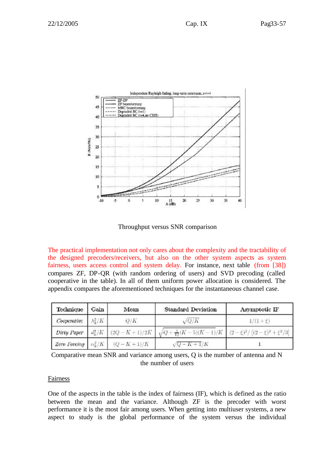

Throughput versus SNR comparison

The practical implementation not only cares about the complexity and the tractability of the designed precoders/receivers, but also on the other system aspects as system fairness, users access control and system delay. For instance, next table (from [38]) compares ZF, DP-QR (with random ordering of users) and SVD precoding (called cooperative in the table). In all of them uniform power allocation is considered. The appendix compares the aforementioned techniques for the instantaneous channel case.

| Technique                   | Gain | Mean                                    | <b>Standard Deviation</b>                                                                    | Asymptotic IF |
|-----------------------------|------|-----------------------------------------|----------------------------------------------------------------------------------------------|---------------|
| Cooperative $\lambda_k^2/K$ |      | Q/K                                     | $\sqrt{Q/K}$                                                                                 | $1/(1 + \xi)$ |
| Dirty Paper                 |      |                                         | $d_k^2/K$ $(2Q-K+1)/2K$ $\sqrt{Q+\frac{1}{12}(K-5)(K-1)/K}$ $(2-\xi)^2/[ (2-\xi)^2+\xi^2/3]$ |               |
|                             |      | Zero Forcing $\alpha_k^2/K$ $(Q-K+1)/K$ | $\sqrt{Q-K+1/K}$                                                                             |               |

Comparative mean SNR and variance among users, Q is the number of antenna and N the number of users

#### Fairness

One of the aspects in the table is the index of fairness (IF), which is defined as the ratio between the mean and the variance. Although ZF is the precoder with worst performance it is the most fair among users. When getting into multiuser systems, a new aspect to study is the global performance of the system versus the individual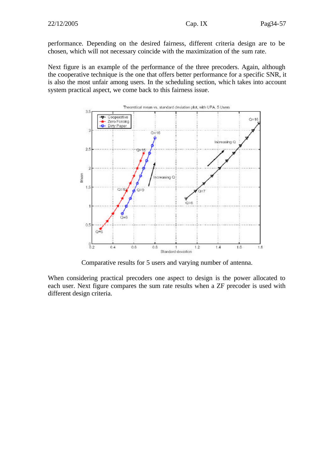performance. Depending on the desired fairness, different criteria design are to be chosen, which will not necessary coincide with the maximization of the sum rate.

Next figure is an example of the performance of the three precoders. Again, although the cooperative technique is the one that offers better performance for a specific SNR, it is also the most unfair among users. In the scheduling section, which takes into account system practical aspect, we come back to this fairness issue.



Comparative results for 5 users and varying number of antenna.

When considering practical precoders one aspect to design is the power allocated to each user. Next figure compares the sum rate results when a ZF precoder is used with different design criteria.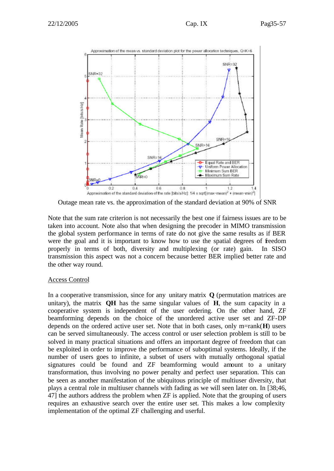

Outage mean rate vs. the approximation of the standard deviation at 90% of SNR

Note that the sum rate criterion is not necessarily the best one if fairness issues are to be taken into account. Note also that when designing the precoder in MIMO transmission the global system performance in terms of rate do not give the same results as if BER were the goal and it is important to know how to use the spatial degrees of freedom properly in terms of both, diversity and multiplexing (or rate) gain. In SISO transmission this aspect was not a concern because better BER implied better rate and the other way round.

#### Access Control

In a cooperative transmission, since for any unitary matrix **Q** (permutation matrices are unitary), the matrix **QH** has the same singular values of **H**, the sum capacity in a cooperative system is independent of the user ordering. On the other hand, ZF beamforming depends on the choice of the unordered active user set and ZF-DP depends on the ordered active user set. Note that in both cases, only m=rank(**H**) users can be served simultaneously. The access control or user selection problem is still to be solved in many practical situations and offers an important degree of freedom that can be exploited in order to improve the performance of suboptimal systems. Ideally, if the number of users goes to infinite, a subset of users with mutually orthogonal spatial signatures could be found and ZF beamforming would amount to a unitary transformation, thus involving no power penalty and perfect user separation. This can be seen as another manifestation of the ubiquitous principle of multiuser diversity, that plays a central role in multiuser channels with fading as we will seen later on. In [38;46, 47] the authors address the problem when ZF is applied. Note that the grouping of users requires an exhaustive search over the entire user set. This makes a low complexity implementation of the optimal ZF challenging and userful.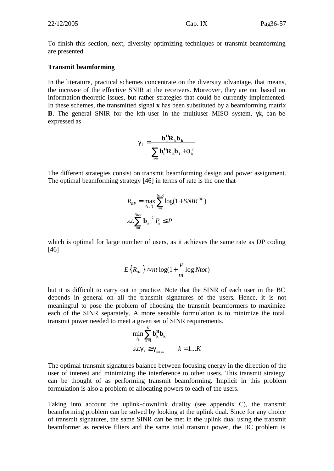To finish this section, next, diversity optimizing techniques or transmit beamforming are presented.

#### **Transmit beamforming**

In the literature, practical schemes concentrate on the diversity advantage, that means, the increase of the effective SNIR at the receivers. Moreover, they are not based on information-theoretic issues, but rather strategies that could be currently implemented. In these schemes, the transmitted signal **x** has been substituted by a beamforming matrix **B**. The general SNIR for the kth user in the multiuser MISO system, γk, can be expressed as

$$
\boldsymbol{g}_k = \frac{\mathbf{b}_k^H \mathbf{R}_k \mathbf{b}_k}{\sum_{i \neq k} \mathbf{b}_i^H \mathbf{R}_k \mathbf{b}_i + \mathbf{S}_k^2}
$$

The different strategies consist on transmit beamforming design and power assignment. The optimal beamforming strategy [46] in terms of rate is the one that

$$
R_{BF} = \max_{b_k, P_k} \sum_{i=1}^{Ntot} \log(1 + SNIR^{BF})
$$
  
s.t. 
$$
\sum_{i=1}^{Ntot} |\mathbf{b}_k|^2 P_k \le P
$$

which is optimal for large number of users, as it achieves the same rate as DP coding [46]

$$
E\big\{R_{BF}\big\} \approx nt\log(1+\frac{P}{nt}\log Ntot)
$$

but it is difficult to carry out in practice. Note that the SINR of each user in the BC depends in general on all the transmit signatures of the users. Hence, it is not meaningful to pose the problem of choosing the transmit beamformers to maximize each of the SINR separately. A more sensible formulation is to minimize the total transmit power needed to meet a given set of SINR requirements.

$$
\min_{b_k} \sum_{k=1}^{K} \mathbf{b_k^H} \mathbf{b_k}
$$
  
s.t.  $\mathbf{g}_k \geq \mathbf{g}_{thres}$   $k = 1...K$ 

The optimal transmit signatures balance between focusing energy in the direction of the user of interest and minimizing the interference to other users. This transmit strategy can be thought of as performing transmit beamforming. Implicit in this problem formulation is also a problem of allocating powers to each of the users.

Taking into account the uplink-downlink duality (see appendix C), the transmit beamforming problem can be solved by looking at the uplink dual. Since for any choice of transmit signatures, the same SINR can be met in the uplink dual using the transmit beamformer as receive filters and the same total transmit power, the BC problem is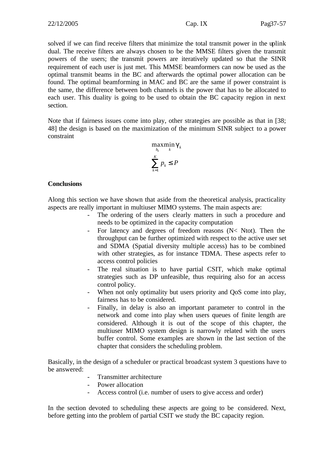solved if we can find receive filters that minimize the total transmit power in the uplink dual. The receive filters are always chosen to be the MMSE filters given the transmit powers of the users; the transmit powers are iteratively updated so that the SINR requirement of each user is just met. This MMSE beamformers can now be used as the optimal transmit beams in the BC and afterwards the optimal power allocation can be found. The optimal beamforming in MAC and BC are the same if power constraint is the same, the difference between both channels is the power that has to be allocated to each user. This duality is going to be used to obtain the BC capacity region in next section.

Note that if fairness issues come into play, other strategies are possible as that in [38; 48] the design is based on the maximization of the minimum SINR subject to a power constraint

$$
\max_{b_k} \min_k \mathbf{g}_k
$$

$$
\sum_{k=1}^K p_k \le P
$$

#### **Conclusions**

Along this section we have shown that aside from the theoretical analysis, practicality aspects are really important in multiuser MIMO systems. The main aspects are:

- The ordering of the users clearly matters in such a procedure and needs to be optimized in the capacity computation
- For latency and degrees of freedom reasons (N< Ntot). Then the throughput can be further optimized with respect to the active user set and SDMA (Spatial diversity multiple access) has to be combined with other strategies, as for instance TDMA. These aspects refer to access control policies
- The real situation is to have partial CSIT, which make optimal strategies such as DP unfeasible, thus requiring also for an access control policy.
- When not only optimality but users priority and QoS come into play, fairness has to be considered.
- Finally, in delay is also an important parameter to control in the network and come into play when users queues of finite length are considered. Although it is out of the scope of this chapter, the multiuser MIMO system design is narrowly related with the users buffer control. Some examples are shown in the last section of the chapter that considers the scheduling problem.

Basically, in the design of a scheduler or practical broadcast system 3 questions have to be answered:

- Transmitter architecture
- Power allocation
- Access control (i.e. number of users to give access and order)

In the section devoted to scheduling these aspects are going to be considered. Next, before getting into the problem of partial CSIT we study the BC capacity region.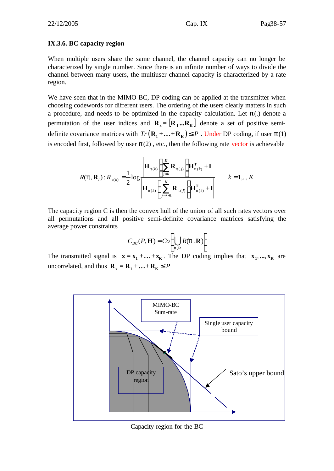#### **IX.3.6. BC capacity region**

When multiple users share the same channel, the channel capacity can no longer be characterized by single number. Since there is an infinite number of ways to divide the channel between many users, the multiuser channel capacity is characterized by a rate region.

We have seen that in the MIMO BC, DP coding can be applied at the transmitter when choosing codewords for different users. The ordering of the users clearly matters in such a procedure, and needs to be optimized in the capacity calculation. Let  $\mathbf{p}$ (.) denote a permutation of the user indices and  $\mathbf{R}_{\rm x} = [\mathbf{R}_{\rm 1} \dots \mathbf{R}_{\rm K}]$  denote a set of positive semidefinite covariance matrices with  $Tr (\mathbf{R}_1 + ... + \mathbf{R}_K) \leq P$ . Under DP coding, if user  $\mathbf{p}(1)$ is encoded first, followed by user  $\mathbf{p}(2)$ , etc., then the following rate vector is achievable

$$
R(\mathbf{p}, \mathbf{R}_{i}) : R_{p(k)} = \frac{1}{2} \log \frac{\left| \mathbf{H}_{p(k)} \left( \sum_{j=k}^{K} \mathbf{R}_{p(j)} \right) \mathbf{H}_{p(k)}^{T} + \mathbf{I} \right|}{\left| \mathbf{H}_{p(k)} \left( \sum_{j=k+1}^{K} \mathbf{R}_{p(j)} \right) \mathbf{H}_{p(k)}^{T} + \mathbf{I} \right|} \qquad k = 1, ..., K
$$

The capacity region C is then the convex hull of the union of all such rates vectors over all permutations and all positive semi-definite covariance matrices satisfying the average power constraints

$$
C_{BC}(P, \mathbf{H}) = Co\left(\bigcup_{p, R} R(p, \mathbf{R})\right)
$$

The transmitted signal is  $\mathbf{x} = \mathbf{x}_1 + \dots + \mathbf{x}_K$ . The DP coding implies that  $\mathbf{x}_1, \dots, \mathbf{x}_K$  are uncorrelated, and thus  $\mathbf{R}_{\mathbf{x}} = \mathbf{R}_{1} + \dots + \mathbf{R}_{\mathbf{K}} \leq P$ 



Capacity region for the BC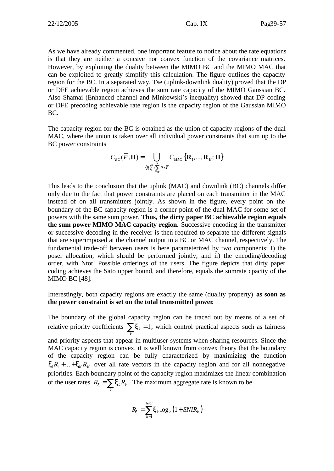As we have already commented, one important feature to notice about the rate equations is that they are neither a concave nor convex function of the covariance matrices. However, by exploiting the duality between the MIMO BC and the MIMO MAC that can be exploited to greatly simplify this calculation. The figure outlines the capacity region for the BC. In a separated way, Tse (uplink-downlink duality) proved that the DP or DFE achievable region achieves the sum rate capacity of the MIMO Gaussian BC. Also Shamai (Enhanced channel and Minkowski's inequality) showed that DP coding or DFE precoding achievable rate region is the capacity region of the Gaussian MIMO BC.

The capacity region for the BC is obtained as the union of capacity regions of the dual MAC, where the union is taken over all individual power constraints that sum up to the BC power constraints

$$
C_{BC}(\overline{P}, \mathbf{H}) = \bigcup_{\{P_i\}_{i}^K \colon \sum_{i=1}^K P_i \leq \overline{P}} C_{MAC} \left\{ \mathbf{R}_1, \dots, \mathbf{R}_K; \mathbf{H} \right\}
$$

This leads to the conclusion that the uplink (MAC) and downlink (BC) channels differ only due to the fact that power constraints are placed on each transmitter in the MAC instead of on all transmitters jointly. As shown in the figure, every point on the boundary of the BC capacity region is a corner point of the dual MAC for some set of powers with the same sum power. **Thus, the dirty paper BC achievable region equals the sum power MIMO MAC capacity region.** Successive encoding in the transmitter or successive decoding in the receiver is then required to separate the different signals that are superimposed at the channel output in a BC or MAC channel, respectively. The fundamental trade-off between users is here parameterized by two components: I) the poser allocation, which should be performed jointly, and ii) the encoding/decoding order, with Ntot! Possible orderings of the users. The figure depicts that dirty paper coding achieves the Sato upper bound, and therefore, equals the sumrate cpacity of the MIMO BC [48].

Interestingly, both capacity regions are exactly the same (duality property) **as soon as the power constraint is set on the total transmitted power**.

The boundary of the global capacity region can be traced out by means of a set of relative priority coefficients  $\sum x_k = 1$  $\sum_{k}$ *x*<sub>k</sub> = 1, which control practical aspects such as fairness and priority aspects that appear in multiuser systems when sharing resources. Since the MAC capacity region is convex, it is well known from convex theory that the boundary of the capacity region can be fully characterized by maximizing the function  $x_1 R_1 + ... + x_k R_k$  over all rate vectors in the capacity region and for all nonnegative priorities. Each boundary point of the capacity region maximizes the linear combination of the user rates  $R_{\mathbf{x}} = \sum_{k} \mathbf{x}_{k} R_{k}$  $R_x = \sum_k x_k R_k$ . The maximum aggregate rate is known to be

$$
R_{\mathbf{x}} = \sum_{k=1}^{Ntot} \mathbf{x}_k \log_2 \left( 1 + SNIR_k \right)
$$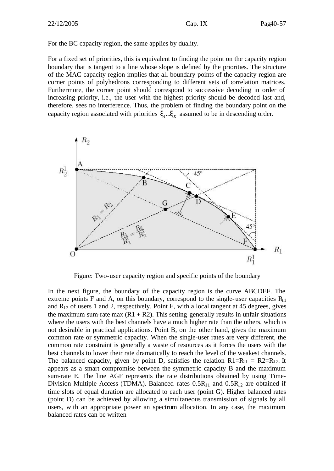For the BC capacity region, the same applies by duality.

For a fixed set of priorities, this is equivalent to finding the point on the capacity region boundary that is tangent to a line whose slope is defined by the priorities. The structure of the MAC capacity region implies that all boundary points of the capacity region are corner points of polyhedrons corresponding to different sets of correlation matrices. Furthermore, the corner point should correspond to successive decoding in order of increasing priority, i.e., the user with the highest priority should be decoded last and, therefore, sees no interference. Thus, the problem of finding the boundary point on the capacity region associated with priorities  $\mathbf{x}_{1} \cdot \mathbf{x}_{K}$  assumed to be in descending order.



Figure: Two-user capacity region and specific points of the boundary

In the next figure, the boundary of the capacity region is the curve ABCDEF. The extreme points F and A, on this boundary, correspond to the single-user capacities  $R_{11}$ and  $R_{12}$  of users 1 and 2, respectively. Point E, with a local tangent at 45 degrees, gives the maximum sum-rate max  $(R1 + R2)$ . This setting generally results in unfair situations where the users with the best channels have a much higher rate than the others, which is not desirable in practical applications. Point B, on the other hand, gives the maximum common rate or symmetric capacity. When the single-user rates are very different, the common rate constraint is generally a waste of resources as it forces the users with the best channels to lower their rate dramatically to reach the level of the weakest channels. The balanced capacity, given by point D, satisfies the relation  $R1=R_{11} = R2=R_{12}$ . It appears as a smart compromise between the symmetric capacity B and the maximum sum-rate E. The line AGF represents the rate distributions obtained by using Time-Division Multiple-Access (TDMA). Balanced rates  $0.5R_{11}$  and  $0.5R_{12}$  are obtained if time slots of equal duration are allocated to each user (point G). Higher balanced rates (point D) can be achieved by allowing a simultaneous transmission of signals by all users, with an appropriate power an spectrum allocation. In any case, the maximum balanced rates can be written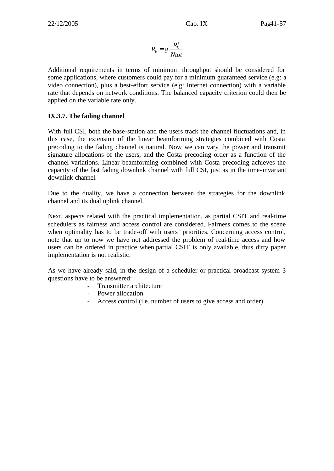$$
R_k = g \frac{R_k^1}{Ntot}
$$

Additional requirements in terms of minimum throughput should be considered for some applications, where customers could pay for a minimum guaranteed service (e.g: a video connection), plus a best-effort service (e.g: Internet connection) with a variable rate that depends on network conditions. The balanced capacity criterion could then be applied on the variable rate only.

#### **IX.3.7. The fading channel**

With full CSI, both the base-station and the users track the channel fluctuations and, in this case, the extension of the linear beamforming strategies combined with Costa precoding to the fading channel is natural. Now we can vary the power and transmit signature allocations of the users, and the Costa precoding order as a function of the channel variations. Linear beamforming combined with Costa precoding achieves the capacity of the fast fading downlink channel with full CSI, just as in the time-invariant downlink channel.

Due to the duality, we have a connection between the strategies for the downlink channel and its dual uplink channel.

Next, aspects related with the practical implementation, as partial CSIT and real-time schedulers as fairness and access control are considered. Fairness comes to the scene when optimality has to be trade-off with users' priorities. Concerning access control, note that up to now we have not addressed the problem of real-time access and how users can be ordered in practice when partial CSIT is only available, thus dirty paper implementation is not realistic.

As we have already said, in the design of a scheduler or practical broadcast system 3 questions have to be answered:

- Transmitter architecture
- Power allocation
- Access control (i.e. number of users to give access and order)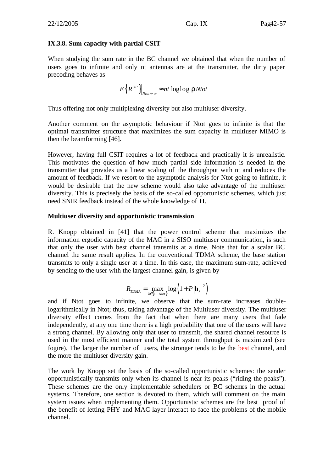#### **IX.3.8. Sum capacity with partial CSIT**

When studying the sum rate in the BC channel we obtained that when the number of users goes to infinite and only nt antennas are at the transmitter, the dirty paper precoding behaves as

$$
E\left\{R^{DP}\right\}\bigg|_{\text{Ntot}\to\infty} \approx nt \text{ loglog } r\text{Ntot}
$$

Thus offering not only multiplexing diversity but also multiuser diversity.

Another comment on the asymptotic behaviour if Ntot goes to infinite is that the optimal transmitter structure that maximizes the sum capacity in multiuser MIMO is then the beamforming [46].

However, having full CSIT requires a lot of feedback and practically it is unrealistic. This motivates the question of how much partial side information is needed in the transmitter that provides us a linear scaling of the throughput with nt and reduces the amount of feedback. If we resort to the asymptotic analysis for Ntot going to infinite, it would be desirable that the new scheme would also take advantage of the multiuser diversity. This is precisely the basis of the so-called opportunistic schemes, which just need SNIR feedback instead of the whole knowledge of **H**.

#### **Multiuser diversity and opportunistic transmission**

R. Knopp obtained in [41] that the power control scheme that maximizes the information ergodic capacity of the MAC in a SISO multiuser communication, is such that only the user with best channel transmits at a time. Note that for a scalar BC channel the same result applies. In the conventional TDMA scheme, the base station transmits to only a single user at a time. In this case, the maximum sum-rate, achieved by sending to the user with the largest channel gain, is given by

$$
R_{TDMA} = \max_{k \in \{1...Ntot\}} \log \left(1 + P \left|\mathbf{h}_k\right|^2\right)
$$

and if Ntot goes to infinite, we observe that the sum-rate increases doublelogarithmically in Ntot; thus, taking advantage of the Multiuser diversity. The multiuser diversity effect comes from the fact that when there are many users that fade independently, at any one time there is a high probability that one of the users will have a strong channel. By allowing only that user to transmit, the shared channel resource is used in the most efficient manner and the total system throughput is maximized (see fogire). The larger the number of users, the stronger tends to be the best channel, and the more the multiuser diversity gain.

The work by Knopp set the basis of the so-called opportunistic schemes: the sender opportunistically transmits only when its channel is near its peaks ("riding the peaks"). These schemes are the only implementable schedulers or BC schemes in the actual systems. Therefore, one section is devoted to them, which will comment on the main system issues when implementing them. Opportunistic schemes are the best proof of the benefit of letting PHY and MAC layer interact to face the problems of the mobile channel.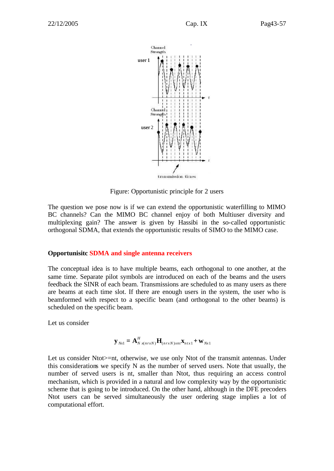

Figure: Opportunistic principle for 2 users

The question we pose now is if we can extend the opportunistic waterfilling to MIMO BC channels? Can the MIMO BC channel enjoy of both Multiuser diversity and multiplexing gain? The answer is given by Hassibi in the so-called opportunistic orthogonal SDMA, that extends the opportunistic results of SIMO to the MIMO case.

#### **Opportunisitc SDMA and single antenna receivers**

The conceptual idea is to have multiple beams, each orthogonal to one another, at the same time. Separate pilot symbols are introduced on each of the beams and the users feedback the SINR of each beam. Transmissions are scheduled to as many users as there are beams at each time slot. If there are enough users in the system, the user who is beamformed with respect to a specific beam (and orthogonal to the other beams) is scheduled on the specific beam.

Let us consider

$$
\mathbf{y}_{Nx1} = \mathbf{A}_{N}^H \mathbf{x}_{(nrxN)} \mathbf{H}_{(nrxN)xn} \mathbf{x}_{ntx1} + \mathbf{w}_{Nx1}
$$

Let us consider Ntot>=nt, otherwise, we use only Ntot of the transmit antennas. Under this considerations we specify N as the number of served users. Note that usually, the number of served users is nt, smaller than Ntot, thus requiring an access control mechanism, which is provided in a natural and low complexity way by the opportunistic scheme that is going to be introduced. On the other hand, although in the DFE precoders Ntot users can be served simultaneously the user ordering stage implies a lot of computational effort.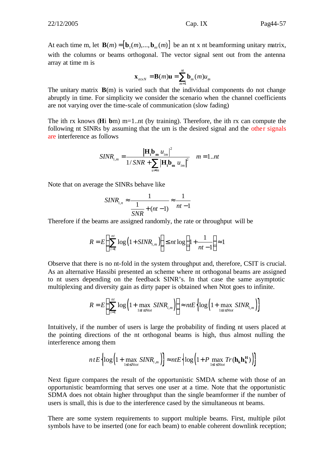At each time m, let  $\mathbf{B}(m) = [\mathbf{b}_1(m),...,\mathbf{b}_m(m)]$  be an nt x nt beamforming unitary matrix, with the columns or beams orthogonal. The vector signal sent out from the antenna array at time m is

$$
\mathbf{x}_{ntxN} = \mathbf{B}(m)\mathbf{u} = \sum_{m=1}^{m} \mathbf{b}_{m}(m)u_{m}
$$

The unitary matrix  $\mathbf{B}(m)$  is varied such that the individual components do not change abruptly in time. For simplicity we consider the scenario when the channel coefficients are not varying over the time-scale of communication (slow fading)

The ith rx knows (**H**i **b**m) m=1..nt (by training). Therefore, the ith rx can compute the following nt SINRs by assuming that the um is the desired signal and the other signals are interference as follows

$$
SINR_{i,m} = \frac{|\mathbf{H}_{i}\mathbf{b}_{m} u_{im}|^{2}}{1/SNR + \sum_{u \neq m} |\mathbf{H}_{i}\mathbf{b}_{m} u_{im}|^{2}} \quad m = 1...nt
$$

Note that on average the SINRs behave like

$$
SINR_{i,n} \approx \frac{1}{\frac{1}{SNR} + (nt-1)} \approx \frac{1}{nt-1}
$$

Therefore if the beams are assigned randomly, the rate or throughput will be

$$
R = E\left\{\sum_{i=1}^{nt} \log\left(1 + SINR_{i,m}\right)\right\} \le nt \log\left(1 + \frac{1}{nt - 1}\right) \approx 1
$$

Observe that there is no nt-fold in the system throughput and, therefore, CSIT is crucial. As an alternative Hassibi presented an scheme where nt orthogonal beams are assigned to nt users depending on the feedback SINR's. In that case the same asymptotic multiplexing and diversity gain as dirty paper is obtained when Ntot goes to infinite.

$$
R = E\left\{\sum_{i=1}^{nt} \log\left(1 + \max_{1 \le i \le N \text{tot}} SINR_{i,m}\right)\right\} \approx ntE\left\{\log\left(1 + \max_{1 \le i \le N \text{tot}} SINR_{i,m}\right)\right\}
$$

Intuitively, if the number of users is large the probability of finding nt users placed at the pointing directions of the nt orthogonal beams is high, thus almost nulling the interference among them

$$
ntE\left\{\log\left(1+\max_{1\leq i\leq Ntot} SINR_{i,m}\right)\right\} \approx ntE\left\{\log\left(1+P\max_{1\leq i\leq Ntot}Tr(\mathbf{h_kh_k^H})\right)\right\}
$$

Next figure compares the result of the opportunistic SMDA scheme with those of an opportunistic beamforming that serves one user at a time. Note that the opportunistic SDMA does not obtain higher throughput than the single beamformer if the number of users is small, this is due to the interference cased by the simultaneous nt beams.

There are some system requirements to support multiple beams. First, multiple pilot symbols have to be inserted (one for each beam) to enable coherent downlink reception;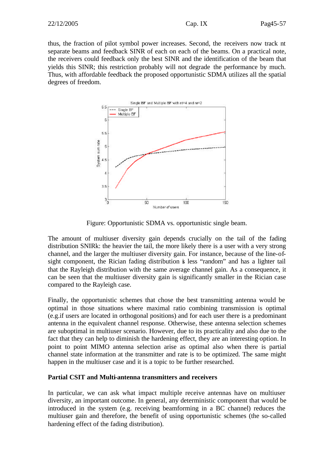thus, the fraction of pilot symbol power increases. Second, the receivers now track nt separate beams and feedback SINR of each on each of the beams. On a practical note, the receivers could feedback only the best SINR and the identification of the beam that yields this SINR; this restriction probably will not degrade the performance by much. Thus, with affordable feedback the proposed opportunistic SDMA utilizes all the spatial degrees of freedom.



Figure: Opportunistic SDMA vs. opportunistic single beam.

The amount of multiuser diversity gain depends crucially on the tail of the fading distribution SNIRk: the heavier the tail, the more likely there is a user with a very strong channel, and the larger the multiuser diversity gain. For instance, because of the line-ofsight component, the Rician fading distribution is less "random" and has a lighter tail that the Rayleigh distribution with the same average channel gain. As a consequence, it can be seen that the multiuser diversity gain is significantly smaller in the Rician case compared to the Rayleigh case.

Finally, the opportunistic schemes that chose the best transmitting antenna would be optimal in those situations where maximal ratio combining transmission is optimal (e.g.if users are located in orthogonal positions) and for each user there is a predominant antenna in the equivalent channel response. Otherwise, these antenna selection schemes are suboptimal in multiuser scenario. However, due to its practicality and also due to the fact that they can help to diminish the hardening effect, they are an interesting option. In point to point MIMO antenna selection arise as optimal also when there is partial channel state information at the transmitter and rate is to be optimized. The same might happen in the multiuser case and it is a topic to be further researched.

#### **Partial CSIT and Multi-antenna transmitters and receivers**

In particular, we can ask what impact multiple receive antennas have on multiuser diversity, an important outcome. In general, any deterministic component that would be introduced in the system (e.g. receiving beamforming in a BC channel) reduces the multiuser gain and therefore, the benefit of using opportunistic schemes (the so-called hardening effect of the fading distribution).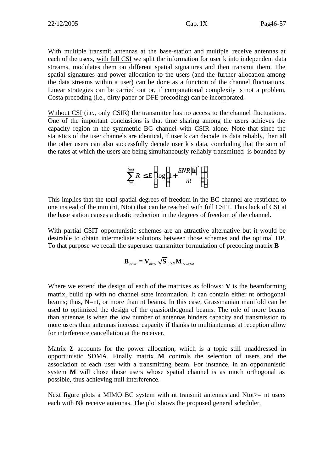With multiple transmit antennas at the base-station and multiple receive antennas at each of the users, with full CSI we split the information for user k into independent data streams, modulates them on different spatial signatures and then transmit them. The spatial signatures and power allocation to the users (and the further allocation among the data streams within a user) can be done as a function of the channel fluctuations. Linear strategies can be carried out or, if computational complexity is not a problem, Costa precoding (i.e., dirty paper or DFE precoding) can be incorporated.

Without CSI (i.e., only CSIR) the transmitter has no access to the channel fluctuations. One of the important conclusions is that time sharing among the users achieves the capacity region in the symmetric BC channel with CSIR alone. Note that since the statistics of the user channels are identical, if user k can decode its data reliably, then all the other users can also successfully decode user k's data, concluding that the sum of the rates at which the users are being simultaneously reliably transmitted is bounded by

$$
\sum_{i=1}^{Ntot} R_i \le E \left[ \log \left( 1 + \frac{SNR |\mathbf{h}|^2}{nt} \right) \right]
$$

This implies that the total spatial degrees of freedom in the BC channel are restricted to one instead of the min (nt, Ntot) that can be reached with full CSIT. Thus lack of CSI at the base station causes a drastic reduction in the degrees of freedom of the channel.

With partial CSIT opportunistic schemes are an attractive alternative but it would be desirable to obtain intermediate solutions between those schemes and the optimal DP. To that purpose we recall the superuser transmitter formulation of precoding matrix **B**

$$
\mathbf{B}_{ntxN} = \mathbf{V}_{ntxN} \sqrt{\mathbf{S}}_{ntxN} \mathbf{M}_{NxNtot}
$$

Where we extend the design of each of the matrixes as follows: **V** is the beamforming matrix, build up with no channel state information. It can contain either nt orthogonal beams; thus, N=nt, or more than nt beams. In this case, Grassmanian manifold can be used to optimized the design of the quasiorthogonal beams. The role of more beams than antennas is when the low number of antennas hinders capacity and transmission to more users than antennas increase capacity if thanks to multiantennas at reception allow for interference cancellation at the receiver.

Matrix **S** accounts for the power allocation, which is a topic still unaddressed in opportunistic SDMA. Finally matrix **M** controls the selection of users and the association of each user with a transmitting beam. For instance, in an opportunistic system **M** will chose those users whose spatial channel is as much orthogonal as possible, thus achieving null interference.

Next figure plots a MIMO BC system with nt transmit antennas and Ntot $>$ = nt users each with Nk receive antennas. The plot shows the proposed general scheduler.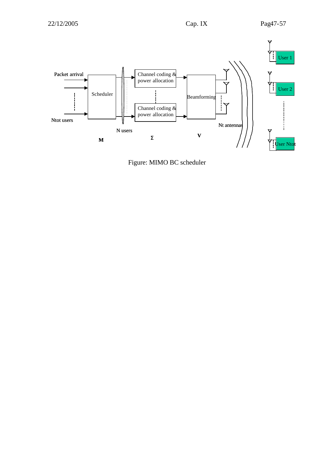

Figure: MIMO BC scheduler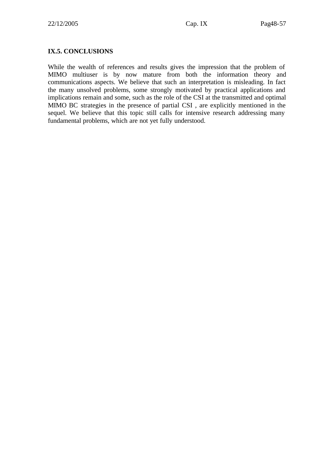#### **IX.5. CONCLUSIONS**

While the wealth of references and results gives the impression that the problem of MIMO multiuser is by now mature from both the information theory and communications aspects. We believe that such an interpretation is misleading. In fact the many unsolved problems, some strongly motivated by practical applications and implications remain and some, such as the role of the CSI at the transmitted and optimal MIMO BC strategies in the presence of partial CSI , are explicitly mentioned in the sequel. We believe that this topic still calls for intensive research addressing many fundamental problems, which are not yet fully understood.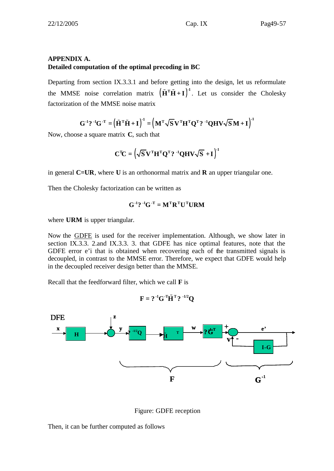#### **APPENDIX A. Detailed computation of the optimal precoding in BC**

Departing from section IX.3.3.1 and before getting into the design, let us reformulate the MMSE noise correlation matrix  $(\tilde{H}^T \tilde{H} + I)^{-1}$ . Let us consider the Cholesky factorization of the MMSE noise matrix

 $({\bf G}^{-1}$ ?  ${}^{-1}{\bf G}^{-T} = (({\bf \tilde{H}}^{\rm T}{\bf \tilde{H}} + {\bf I})^{\rm T} = (({\bf M}^{\rm T}\sqrt{{\bf S}}{\bf V}^{\rm T}{\bf H}^{\rm T}{\bf Q}^{\rm T})$ ?  ${}^{-1}{\bf Q}{\bf H}{\bf V}\sqrt{{\bf S}}{\bf M} + {\bf I})^{\rm T}$ 

Now, choose a square matrix **C**, such that

$$
\mathbf{C}^{\mathrm{T}}\mathbf{C} = (\sqrt{\mathbf{S}}\mathbf{V}^{\mathrm{T}}\mathbf{H}^{\mathrm{T}}\mathbf{Q}^{\mathrm{T}} \mathbf{?}^{-1}\mathbf{Q}\mathbf{H}\mathbf{V}\sqrt{\mathbf{S}} + \mathbf{I})^{\mathrm{T}}
$$

in general **C=UR**, where **U** is an orthonormal matrix and **R** an upper triangular one.

Then the Cholesky factorization can be written as

$$
\mathbf{G}^{\text{-1}} \mathbf{?} \text{-}^{\text{-1}} \mathbf{G}^{\text{-T}} = \mathbf{M}^{\text{T}} \mathbf{R}^{\text{T}} \mathbf{U}^{\text{T}} \mathbf{U} \mathbf{R} \mathbf{M}
$$

where **URM** is upper triangular.

Now the GDFE is used for the receiver implementation. Although, we show later in section IX.3.3. 2.and IX.3.3. 3. that GDFE has nice optimal features, note that the GDFE error e'i that is obtained when recovering each of the transmitted signals is decoupled, in contrast to the MMSE error. Therefore, we expect that GDFE would help in the decoupled receiver design better than the MMSE.

Recall that the feedforward filter, which we call **F** is

$$
\mathbf{F} = ?^{-1} \mathbf{G}^{-T} \tilde{\mathbf{H}}^{T} ?^{-1/2} \mathbf{Q}
$$



Figure: GDFE reception

Then, it can be further computed as follows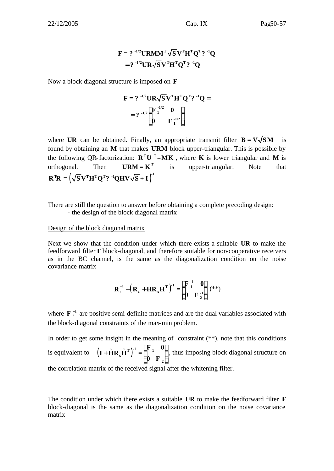## $=$  ?  $\binom{-1/2}{\mathbf{X}} \mathbf{K}^T \mathbf{H}^T \mathbf{Q}^T$ ?  $\binom{-1}{\mathbf{X}}$  $\mathbf{F} = ?^{-1/2} \mathbf{U} \mathbf{R} \mathbf{M} \mathbf{M}^{\text{T}} \sqrt{\mathbf{S}} \mathbf{V}^{\text{T}} \mathbf{H}^{\text{T}} \mathbf{Q}^{\text{T}} ?^{-1} \mathbf{Q}$

Now a block diagonal structure is imposed on **F**

$$
F = ?^{-1/2}UR\sqrt{S}V^{T}H^{T}Q^{T} ?^{-1}Q =
$$
  
= ?^{-1/2}  $\begin{bmatrix} F^{-1/2} & 0 \\ 0 & F^{-1/2} \end{bmatrix}$ 

where **UR** can be obtained. Finally, an appropriate transmit filter  $B = V\sqrt{SM}$  is found by obtaining an **M** that makes **URM** block upper-triangular. This is possible by the following OR-factorization:  $\mathbf{R}^{\mathrm{T}}\mathbf{U}^{\mathrm{T}} = \mathbf{M}\mathbf{K}$ , where **K** is lower triangular and **M** is orthogonal. Then  $\mathbf{U}\mathbf{R}\mathbf{M} = \mathbf{K}^T$  is upper-triangular. Note that  $\mathbf{R}^{\mathrm{T}}\mathbf{R} = \left(\sqrt{\mathbf{S}}\mathbf{V}^{\mathrm{T}}\mathbf{H}^{\mathrm{T}}\mathbf{Q}^{\mathrm{T}}$ ?  $\mathbf{R}^{\mathrm{T}}\mathbf{Q}\mathbf{H}\mathbf{V}\sqrt{\mathbf{S}}+\mathbf{I}\right)^{\mathrm{T}}$ 

There are still the question to answer before obtaining a complete precoding design: - the design of the block diagonal matrix

#### Design of the block diagonal matrix

Next we show that the condition under which there exists a suitable **UR** to make the feedforward filter **F** block-diagonal, and therefore suitable for non-cooperative receivers as in the BC channel, is the same as the diagonalization condition on the noise covariance matrix

$$
R_z^{-1} - \left(R_z + HR_xH^T\right)^{-1} = \begin{bmatrix} F^{-1}_1 & 0 \\ 0 & F^{-1}_2 \end{bmatrix} \; (^{**})
$$

where  $\mathbf{F}^{-1}$  are positive semi-definite matrices and are the dual variables associated with the block-diagonal constraints of the max-min problem.

In order to get some insight in the meaning of constraint  $(**)$ , note that this conditions is equivalent to  $(I + \mathbf{H} \mathbf{R}_{x} \mathbf{H}^{\mathrm{T}})$  $|F_{1} \ 0|$  $+\widetilde{\mathbf{H}}\mathbf{R}_{\mathbf{x}}\widetilde{\mathbf{H}}^{\mathrm{T}}\big)^{1} = \begin{bmatrix} \mathbf{r} & \mathbf{0} \\ \mathbf{0} & \mathbf{F}_{2} \end{bmatrix}$ **x 2**  $\mathbf{F}_{1}$  0  $\mathbf{I} + \mathbf{H} \mathbf{R}_{x} \mathbf{H}^{\mathrm{T}}$  = **0 F**  $(\widetilde{\mathbf{H}} \mathbf{R}_x \widetilde{\mathbf{H}}^T)^{-1} = \begin{bmatrix} \mathbf{F} & \mathbf{0} \\ \mathbf{0} & \mathbf{0} \end{bmatrix}$ , thus imposing block diagonal structure on

the correlation matrix of the received signal after the whitening filter.

The condition under which there exists a suitable **UR** to make the feedforward filter **F** block-diagonal is the same as the diagonalization condition on the noise covariance matrix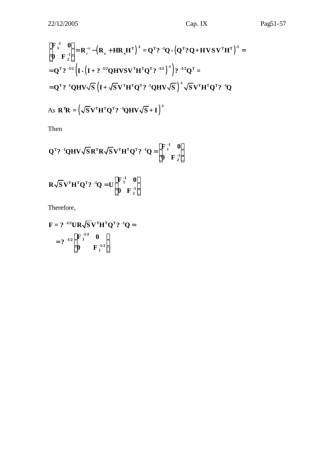$$
Pag51-57
$$

$$
\begin{bmatrix} \mathbf{F}_1^{-1} & \mathbf{0} \\ \mathbf{0} & \mathbf{F}_2^{-1} \end{bmatrix} = \mathbf{R}_z^{-1} - (\mathbf{R}_z + \mathbf{H}\mathbf{R}_x\mathbf{H}^T)^{-1} = \mathbf{Q}^T \mathbf{?}^{-1} \mathbf{Q} - (\mathbf{Q}^T \mathbf{?} \mathbf{Q} + \mathbf{H} \mathbf{V} \mathbf{S} \mathbf{V}^T \mathbf{H}^T)^{-1} =
$$
  
=  $\mathbf{Q}^T \mathbf{?}^{-1/2} (\mathbf{I} - (\mathbf{I} + \mathbf{?}^{-1/2} \mathbf{Q} \mathbf{H} \mathbf{V} \mathbf{S} \mathbf{V}^T \mathbf{H}^T \mathbf{Q}^T \mathbf{?}^{-1/2})^{-1}) \mathbf{?}^{-1/2} \mathbf{Q}^T =$   
=  $\mathbf{Q}^T \mathbf{?}^{-1} \mathbf{Q} \mathbf{H} \mathbf{V} \sqrt{\mathbf{S}} (\mathbf{I} + \sqrt{\mathbf{S}} \mathbf{V}^T \mathbf{H}^T \mathbf{Q}^T \mathbf{?}^{-1} \mathbf{Q} \mathbf{H} \mathbf{V} \sqrt{\mathbf{S}})^{-1} \sqrt{\mathbf{S}} \mathbf{V}^T \mathbf{H}^T \mathbf{Q}^T \mathbf{?}^{-1} \mathbf{Q}$ 

As 
$$
\mathbf{R}^{\mathrm{T}}\mathbf{R} = (\sqrt{\mathbf{S}}\mathbf{V}^{\mathrm{T}}\mathbf{H}^{\mathrm{T}}\mathbf{Q}^{\mathrm{T}}?
$$
  ${}^{\mathrm{T}}\mathbf{Q}\mathbf{H}\mathbf{V}\sqrt{\mathbf{S}} + \mathbf{I}$ )

Then

$$
Q^{T} ?^{-1}QHV\sqrt{S}R^{T}R\sqrt{S}V^{T}H^{T}Q^{T} ?^{-1}Q = \begin{bmatrix} F^{-1}_{1} & 0 \\ 0 & F^{-1}_{2} \end{bmatrix}
$$

$$
R\sqrt{S}V^{T}H^{T}Q^{T} ?^{-1}Q = U \begin{bmatrix} F^{-1}_{1} & 0 \\ 0 & F^{-1}_{2} \end{bmatrix}
$$

Therefore,

$$
\mathbf{F} = ?^{-1/2} \mathbf{U} \mathbf{R} \sqrt{\mathbf{S}} \mathbf{V}^{\mathrm{T}} \mathbf{H}^{\mathrm{T}} \mathbf{Q}^{\mathrm{T}} ?^{-1} \mathbf{Q} =
$$

$$
= ?^{-1/2} \begin{bmatrix} \mathbf{F}_1^{-1/2} & \mathbf{0} \\ \mathbf{0} & \mathbf{F}_1^{-1/2} \end{bmatrix}
$$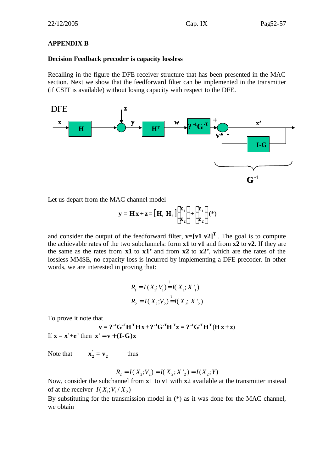#### **APPENDIX B**

#### **Decision Feedback precoder is capacity lossless**

Recalling in the figure the DFE receiver structure that has been presented in the MAC section. Next we show that the feedforward filter can be implemented in the transmitter (if CSIT is available) without losing capacity with respect to the DFE.



Let us depart from the MAC channel model

$$
\mathbf{y} = \mathbf{H}\mathbf{x} + \mathbf{z} = \left[\mathbf{H}_1 \ \mathbf{H}_2\right] \begin{bmatrix} \mathbf{x}_1 \\ \mathbf{x}_2 \end{bmatrix} + \begin{bmatrix} \mathbf{z}_1 \\ \mathbf{z}_2 \end{bmatrix} (*)
$$

and consider the output of the feedforward filter,  $\mathbf{v} = [\mathbf{v1} \ \mathbf{v2}]^T$ . The goal is to compute the achievable rates of the two subchannels: form **x1** to **v1** and from **x2** to **v2**. If they are the same as the rates from **x1** to **x1'** and from **x2** to **x2'**, which are the rates of the lossless MMSE, no capacity loss is incurred by implementing a DFE precoder. In other words, we are interested in proving that:

$$
R_1 = I(X_1; V_1) = I(X_1; X'_1)
$$
  

$$
R_2 = I(X_2; V_2) = I(X_2; X'_2)
$$

To prove it note that

$$
\mathbf{v} = ?^{-1}\mathbf{G}^{-T}\mathbf{H}^{T}\mathbf{H}\mathbf{x} + ?^{-1}\mathbf{G}^{-T}\mathbf{H}^{T}\mathbf{z} = ?^{-1}\mathbf{G}^{-T}\mathbf{H}^{T}(\mathbf{H}\mathbf{x} + \mathbf{z})
$$
  
If  $\mathbf{x} = \mathbf{x}' + \mathbf{e}'$  then  $\mathbf{x}' = \mathbf{v} + (\mathbf{I} - \mathbf{G})\mathbf{x}$ 

Note that **'**  $\mathbf{x}_2 = \mathbf{v}_2$  thus

$$
R_2 = I(X_2; V_2) = I(X_2; X'_2) = I(X_2; Y)
$$

Now, consider the subchannel from **x**1 to **v**1 with **x**2 available at the transmitter instead of at the receiver  $I(X_i; V_i / X_i)$ 

By substituting for the transmission model in (\*) as it was done for the MAC channel, we obtain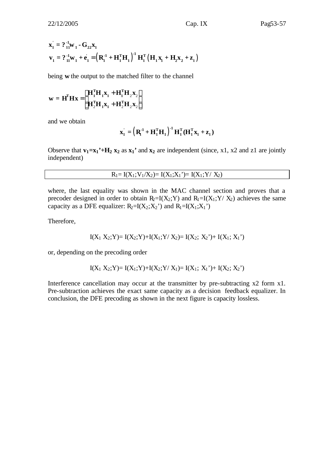$$
\mathbf{x}_{1}^{'} = ?_{11}^{11} \mathbf{w}_{1} - \mathbf{G}_{22} \mathbf{x}_{1}
$$
\n
$$
\mathbf{v}_{1} = ?_{11}^{11} \mathbf{w}_{1} + \dot{\mathbf{e}}_{1}^{'} = \left(\mathbf{R}_{1}^{21} + \mathbf{H}_{1}^{T} \mathbf{H}_{1}\right)^{21} \mathbf{H}_{1}^{T} \left(\mathbf{H}_{1} \mathbf{x}_{1} + \mathbf{H}_{2} \mathbf{x}_{2} + \mathbf{z}_{1}\right)
$$

being **w** the output to the matched filter to the channel

$$
\mathbf{w} = \mathbf{H}^{\mathrm{T}} \mathbf{H} \mathbf{x} = \begin{bmatrix} \mathbf{H}_1^{\mathrm{T}} \mathbf{H}_1 \mathbf{x}_1 + \mathbf{H}_1^{\mathrm{T}} \mathbf{H}_2 \mathbf{x}_2 \\ \mathbf{H}_2^{\mathrm{T}} \mathbf{H}_1 \mathbf{x}_1 + \mathbf{H}_2^{\mathrm{T}} \mathbf{H}_2 \mathbf{x}_2 \end{bmatrix}
$$

and we obtain

$$
\mathbf{x}_1^\prime = \left(\mathbf{R}_1^{\mathbf{-1}} + \mathbf{H}_1^{\mathrm{T}} \mathbf{H}_1\right)^{\mathbf{-1}} \mathbf{H}_1^{\mathrm{T}} (\mathbf{H}_1^{\mathrm{T}} \mathbf{x}_1 + \mathbf{z}_1)
$$

Observe that  $\mathbf{v}_1 = \mathbf{x}_1 \cdot \mathbf{H}_2 \mathbf{x}_2$  as  $\mathbf{x}_1 \cdot \mathbf{H}_3$  are independent (since, x1, x2 and z1 are jointly independent)

$$
R_1 = I(X_1; V_1/X_2) = I(X_1; X_1') = I(X_1; Y / X_2)
$$

where, the last equality was shown in the MAC channel section and proves that a precoder designed in order to obtain  $R_2=I(X_2;Y)$  and  $R_1=I(X_1;Y/X_2)$  achieves the same capacity as a DFE equalizer:  $R_2=I(X_2;X_2)$  and  $R_1=I(X_1;X_1')$ 

Therefore,

$$
I(X_1 X_2; Y) = I(X_2; Y) + I(X_1; Y / X_2) = I(X_2; X_2') + I(X_1; X_1')
$$

or, depending on the precoding order

$$
I(X_1 X_2; Y) = I(X_1; Y) + I(X_2; Y / X_1) = I(X_1; X_1') + I(X_2; X_2')
$$

Interference cancellation may occur at the transmitter by pre-subtracting x2 form x1. Pre-subtraction achieves the exact same capacity as a decision feedback equalizer. In conclusion, the DFE precoding as shown in the next figure is capacity lossless.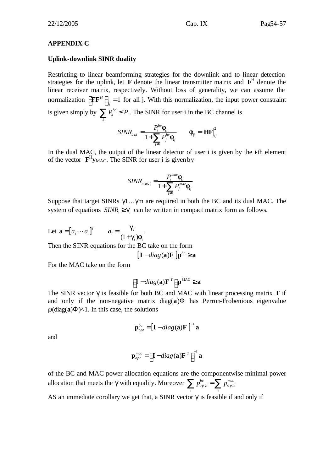#### **APPENDIX C**

#### **Uplink-downlink SINR duality**

Restricting to linear beamforming strategies for the downlink and to linear detection strategies for the uplink, let  $\bf{F}$  denote the linear transmitter matrix and  $\bf{F}^H$  denote the linear receiver matrix, respectively. Without loss of generality, we can assume the normalization  $\left| \mathbf{F} \mathbf{F}^H \right| = 1$  $\left[ \mathbf{F} \mathbf{F}^H \right]_{jj} = 1$  for all j. With this normalization, the input power constraint is given simply by  $\sum P_k^{bc}$  $\sum_{k} P_{k}^{bc} \leq P$ . The SINR for user i in the BC channel is

$$
SINR_{bc,i} = \frac{P_i^{bc} \mathbf{f}_{ii}}{1 + \sum_{j \neq i} P_j^{bc} \mathbf{f}_{ij}} \qquad \mathbf{f}_{ij} = \left| \mathbf{H} \mathbf{F} \right|_{ij}^2
$$

In the dual MAC, the output of the linear detector of user i is given by the  $\ddot{\text{t}}$ th element of the vector  $\mathbf{F}^H \mathbf{y}_{MAC}$ . The SINR for user i is given by

$$
SINR_{mac,i} = \frac{P_i^{mac}f_{ii}}{1 + \sum_{j \neq i} P_j^{mac}f_{ij}}
$$

Suppose that target SINRs  $\gamma$ 1... $\gamma$ m are required in both the BC and its dual MAC. The system of equations  $SINR_i \geq g_i$  can be written in compact matrix form as follows.

Let 
$$
\mathbf{a} = [a_1 \cdots a_1]^T
$$
  $a_i = \frac{\mathbf{g}_i}{(1 + \mathbf{g}_i)\mathbf{f}_i}$   
Then the SINR equations for the BC take on the form

$$
\left[\mathbf{I} - diag(\mathbf{a})\mathbf{F}\right]\mathbf{p}^{bc} \geq \mathbf{a}
$$

For the MAC take on the form

$$
\left[\mathbf{I} - diag(\mathbf{a})\mathbf{F}^T\right]\mathbf{p}^{MAC} \ge \mathbf{a}
$$

The SINR vector **g** is feasible for both BC and MAC with linear processing matrix **F** if and only if the non-negative matrix  $diag(a)$ **F** has Perron-Frobenious eigenvalue  $\mathbf{r}$ (diag(a) $\mathbf{F}$ )<1. In this case, the solutions

$$
\mathbf{p}_{opt}^{bc} = \left[\mathbf{I} - diag(\mathbf{a})\mathbf{F}\right]^{-1} \mathbf{a}
$$

and

$$
\mathbf{p}_{opt}^{mac} = \left[\mathbf{I} - diag(\mathbf{a})\mathbf{F}^{T}\right]^{-1}\mathbf{a}
$$

of the BC and MAC power allocation equations are the componentwise minimal power allocation that meets the **g** with equality. Moreover  $\sum p_{opti}^{bc} = \sum p_{opti}^{mac}$ *bc*  $\sum$  *mac*  $\mathcal{L}_{\textit{opti}} = \mathcal{L}_{\textit{opti}}$  $\sum_i p_{opti}^{bc} = \sum_i p_i$ 

AS an immediate corollary we get that, a SINR vector **g** is feasible if and only if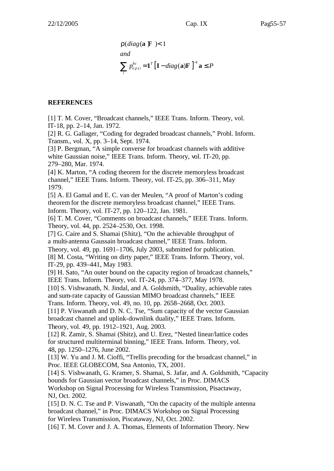$$
\mathbf{r}(diag(\mathbf{a} \ \mathbf{F}) < 1
$$
\nand

\n
$$
\sum_{i} p_{opti}^{bc} = \mathbf{1}^{T} \left[ \mathbf{I} - diag(\mathbf{a}) \mathbf{F} \right]^{-1} \mathbf{a} \leq P
$$

#### **REFERENCES**

[1] T. M. Cover, "Broadcast channels," IEEE Trans. Inform. Theory, vol. IT-18, pp. 2–14, Jan. 1972.

[2] R. G. Gallager, "Coding for degraded broadcast channels," Probl. Inform. Transm., vol. X, pp. 3–14, Sept. 1974.

[3] P. Bergman, "A simple converse for broadcast channels with additive white Gaussian noise," IEEE Trans. Inform. Theory, vol. IT-20, pp. 279–280, Mar. 1974.

[4] K. Marton, "A coding theorem for the discrete memoryless broadcast channel," IEEE Trans. Inform. Theory, vol. IT-25, pp. 306–311, May 1979.

[5] A. El Gamal and E. C. van der Meulen, "A proof of Marton's coding theorem for the discrete memoryless broadcast channel," IEEE Trans. Inform. Theory, vol. IT-27, pp. 120–122, Jan. 1981.

[6] T. M. Cover, "Comments on broadcast channels," IEEE Trans. Inform. Theory, vol. 44, pp. 2524–2530, Oct. 1998.

[7] G. Caire and S. Shamai (Shitz), "On the achievable throughput of a multi-antenna Gaussain broadcast channel," IEEE Trans. Inform.

Theory, vol. 49, pp. 1691–1706, July 2003, submitted for publication.

[8] M. Costa, "Writing on dirty paper," IEEE Trans. Inform. Theory, vol. IT-29, pp. 439–441, May 1983.

[9] H. Sato, "An outer bound on the capacity region of broadcast channels," IEEE Trans. Inform. Theory, vol. IT-24, pp. 374–377, May 1978.

[10] S. Vishwanath, N. Jindal, and A. Goldsmith, "Duality, achievable rates and sum-rate capacity of Gaussian MIMO broadcast channels," IEEE Trans. Inform. Theory, vol. 49, no. 10, pp. 2658–2668, Oct. 2003.

[11] P. Viswanath and D. N. C. Tse, "Sum capacity of the vector Gaussian broadcast channel and uplink-downlink duality," IEEE Trans. Inform. Theory, vol. 49, pp. 1912–1921, Aug. 2003.

[12] R. Zamir, S. Shamai (Shitz), and U. Erez, "Nested linear/lattice codes for structured multiterminal binning," IEEE Trans. Inform. Theory, vol. 48, pp. 1250–1276, June 2002.

[13] W. Yu and J. M. Cioffi, "Trellis precoding for the broadcast channel," in Proc. IEEE GLOBECOM, Sna Antonio, TX, 2001.

[14] S. Vishwanath, G. Kramer, S. Shamai, S. Jafar, and A. Goldsmith, "Capacity bounds for Gaussian vector broadcast channels," in Proc. DIMACS

Workshop on Signal Processing for Wireless Transmission, Pisactaway, NJ, Oct. 2002.

[15] D. N. C. Tse and P. Viswanath, "On the capacity of the multiple antenna broadcast channel," in Proc. DIMACS Workshop on Signal Processing for Wireless Transmission, Piscataway, NJ, Oct. 2002.

[16] T. M. Cover and J. A. Thomas, Elements of Information Theory. New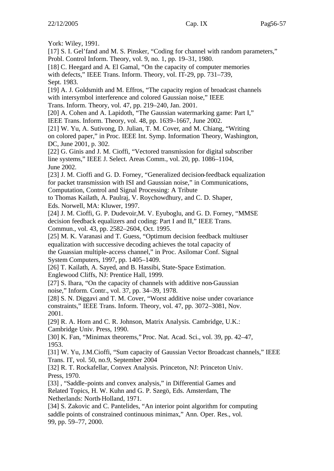York: Wiley, 1991.

[17] S. I. Gel'fand and M. S. Pinsker, "Coding for channel with random parameters," Probl. Control Inform. Theory, vol. 9, no. 1, pp. 19–31, 1980.

[18] C. Heegard and A. El Gamal, "On the capacity of computer memories with defects," IEEE Trans. Inform. Theory, vol. IT-29, pp. 731–739, Sept. 1983.

[19] A. J. Goldsmith and M. Effros, "The capacity region of broadcast channels" with intersymbol interference and colored Gaussian noise," IEEE

Trans. Inform. Theory, vol. 47, pp. 219–240, Jan. 2001.

[20] A. Cohen and A. Lapidoth, "The Gaussian watermarking game: Part I," IEEE Trans. Inform. Theory, vol. 48, pp. 1639–1667, June 2002.

[21] W. Yu, A. Sutivong, D. Julian, T. M. Cover, and M. Chiang, "Writing on colored paper," in Proc. IEEE Int. Symp. Information Theory, Washington, DC, June 2001, p. 302.

[22] G. Ginis and J. M. Cioffi, "Vectored transmission for digital subscriber line systems," IEEE J. Select. Areas Comm., vol. 20, pp. 1086–1104, June 2002.

[23] J. M. Cioffi and G. D. Forney, "Generalized decision-feedback equalization for packet transmission with ISI and Gaussian noise," in Communications, Computation, Control and Signal Processing: A Tribute

to Thomas Kailath, A. Paulraj, V. Roychowdhury, and C. D. Shaper, Eds. Norwell, MA: Kluwer, 1997.

[24] J. M. Cioffi, G. P. Dudevoir,M. V. Eyuboglu, and G. D. Forney, "MMSE decision feedback equalizers and coding: Part I and II," IEEE Trans. Commun., vol. 43, pp. 2582–2604, Oct. 1995.

[25] M. K. Varanasi and T. Guess, "Optimum decision feedback multiuser equalization with successive decoding achieves the total capacity of the Guassian multiple-access channel," in Proc. Asilomar Conf. Signal System Computers, 1997, pp. 1405–1409.

[26] T. Kailath, A. Sayed, and B. Hassibi, State-Space Estimation. Englewood Cliffs, NJ: Prentice Hall, 1999.

[27] S. Ihara, "On the capacity of channels with additive non-Gaussian noise," Inform. Contr., vol. 37, pp. 34–39, 1978.

[28] S. N. Diggavi and T. M. Cover, "Worst additive noise under covariance constraints," IEEE Trans. Inform. Theory, vol. 47, pp. 3072–3081, Nov. 2001.

[29] R. A. Horn and C. R. Johnson, Matrix Analysis. Cambridge, U.K.: Cambridge Univ. Press, 1990.

[30] K. Fan, "Minimax theorems," Proc. Nat. Acad. Sci., vol. 39, pp. 42–47, 1953.

[31] W. Yu, J.M.Cioffi, "Sum capacity of Gaussian Vector Broadcast channels," IEEE Trans. IT, vol. 50, no.9, September 2004

[32] R. T. Rockafellar, Convex Analysis. Princeton, NJ: Princeton Univ. Press, 1970.

[33], "Saddle-points and convex analysis," in Differential Games and Related Topics, H. W. Kuhn and G. P. Szegö, Eds. Amsterdam, The Netherlands: North-Holland, 1971.

[34] S. Zakovic and C. Pantelides, "An interior point algorithm for computing saddle points of constrained continuous minimax," Ann. Oper. Res., vol. 99, pp. 59–77, 2000.